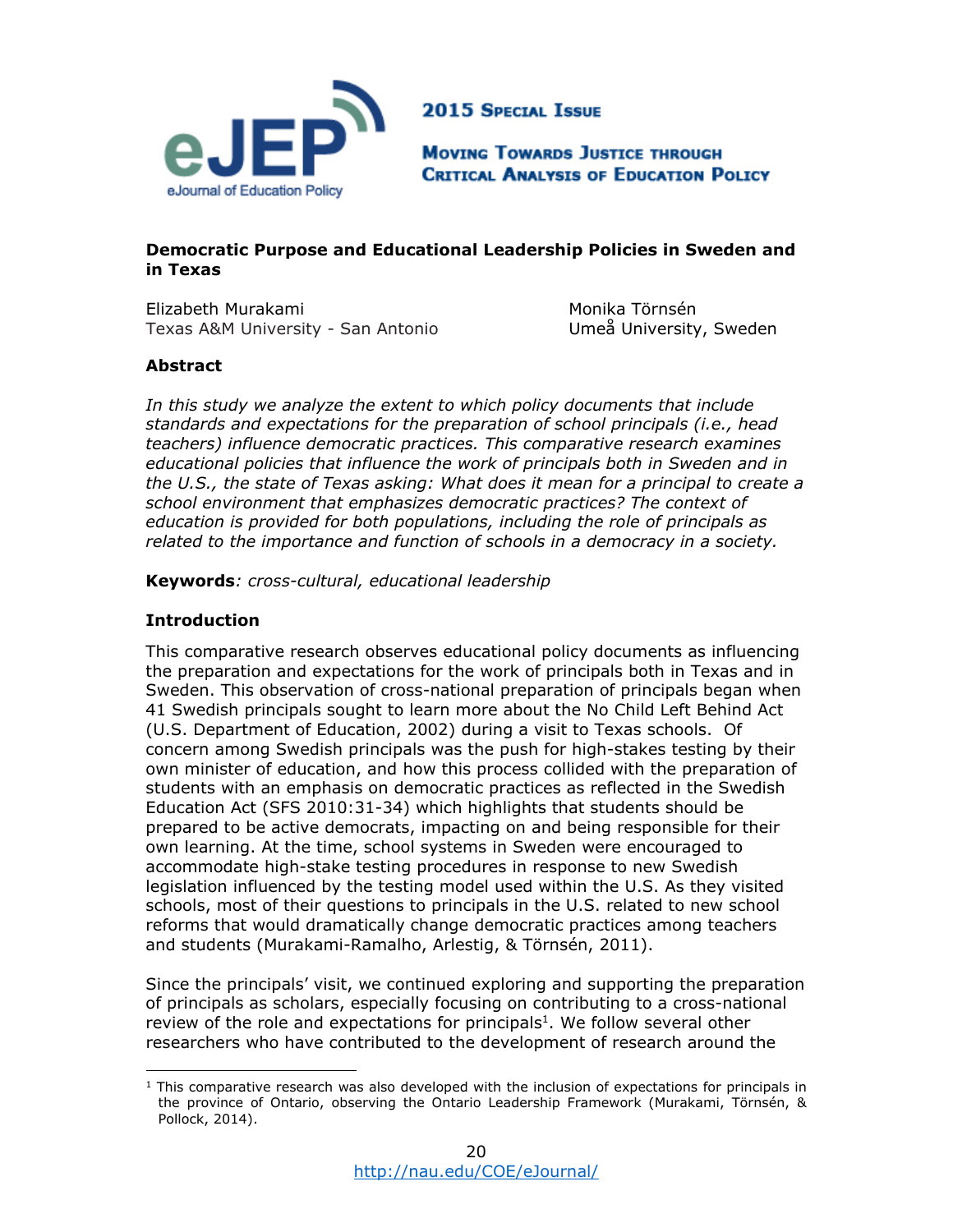

**2015 SPECIAL ISSUE** 

**MOVING TOWARDS JUSTICE THROUGH CRITICAL ANALYSIS OF EDUCATION POLICY** 

# **Democratic Purpose and Educational Leadership Policies in Sweden and in Texas**

Elizabeth Murakami Texas A&M University - San Antonio

 Monika Törnsén Umeå University, Sweden

# **Abstract**

*In this study we analyze the extent to which policy documents that include standards and expectations for the preparation of school principals (i.e., head teachers) influence democratic practices. This comparative research examines educational policies that influence the work of principals both in Sweden and in the U.S., the state of Texas asking: What does it mean for a principal to create a school environment that emphasizes democratic practices? The context of education is provided for both populations, including the role of principals as related to the importance and function of schools in a democracy in a society.* 

**Keywords***: cross-cultural, educational leadership* 

# **Introduction**

This comparative research observes educational policy documents as influencing the preparation and expectations for the work of principals both in Texas and in Sweden. This observation of cross-national preparation of principals began when 41 Swedish principals sought to learn more about the No Child Left Behind Act (U.S. Department of Education, 2002) during a visit to Texas schools. Of concern among Swedish principals was the push for high-stakes testing by their own minister of education, and how this process collided with the preparation of students with an emphasis on democratic practices as reflected in the Swedish Education Act (SFS 2010:31-34) which highlights that students should be prepared to be active democrats, impacting on and being responsible for their own learning. At the time, school systems in Sweden were encouraged to accommodate high-stake testing procedures in response to new Swedish legislation influenced by the testing model used within the U.S. As they visited schools, most of their questions to principals in the U.S. related to new school reforms that would dramatically change democratic practices among teachers and students (Murakami-Ramalho, Arlestig, & Törnsén, 2011).

Since the principals' visit, we continued exploring and supporting the preparation of principals as scholars, especially focusing on contributing to a cross-national review of the role and expectations for principals<sup>1</sup>. We follow several other researchers who have contributed to the development of research around the

 $<sup>1</sup>$  This comparative research was also developed with the inclusion of expectations for principals in</sup> the province of Ontario, observing the Ontario Leadership Framework (Murakami, Törnsén, & Pollock, 2014).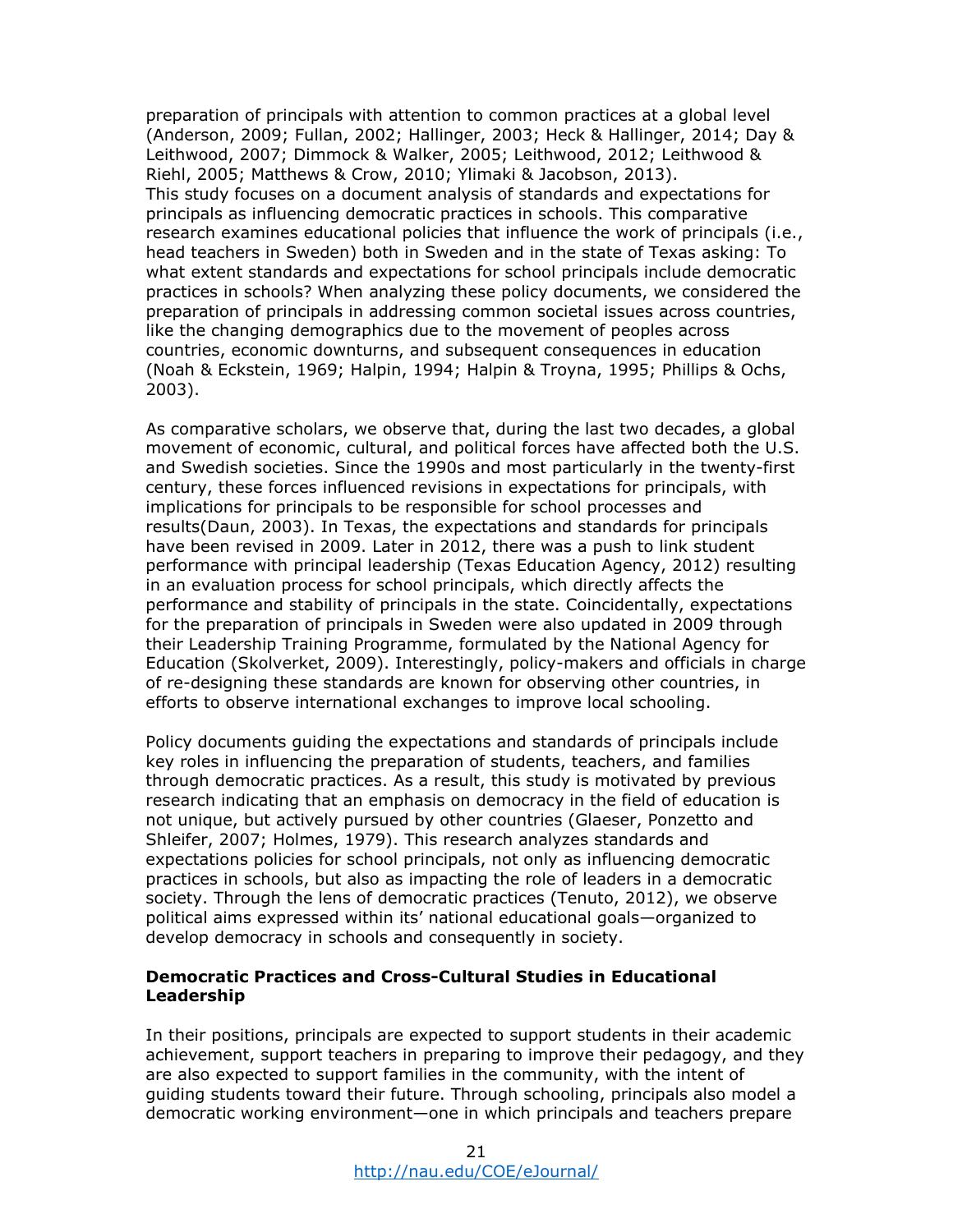preparation of principals with attention to common practices at a global level (Anderson, 2009; Fullan, 2002; Hallinger, 2003; Heck & Hallinger, 2014; Day & Leithwood, 2007; Dimmock & Walker, 2005; Leithwood, 2012; Leithwood & Riehl, 2005; Matthews & Crow, 2010; Ylimaki & Jacobson, 2013). This study focuses on a document analysis of standards and expectations for principals as influencing democratic practices in schools. This comparative research examines educational policies that influence the work of principals (i.e., head teachers in Sweden) both in Sweden and in the state of Texas asking: To what extent standards and expectations for school principals include democratic practices in schools? When analyzing these policy documents, we considered the preparation of principals in addressing common societal issues across countries, like the changing demographics due to the movement of peoples across countries, economic downturns, and subsequent consequences in education (Noah & Eckstein, 1969; Halpin, 1994; Halpin & Troyna, 1995; Phillips & Ochs, 2003).

As comparative scholars, we observe that, during the last two decades, a global movement of economic, cultural, and political forces have affected both the U.S. and Swedish societies. Since the 1990s and most particularly in the twenty-first century, these forces influenced revisions in expectations for principals, with implications for principals to be responsible for school processes and results(Daun, 2003). In Texas, the expectations and standards for principals have been revised in 2009. Later in 2012, there was a push to link student performance with principal leadership (Texas Education Agency, 2012) resulting in an evaluation process for school principals, which directly affects the performance and stability of principals in the state. Coincidentally, expectations for the preparation of principals in Sweden were also updated in 2009 through their Leadership Training Programme, formulated by the National Agency for Education (Skolverket, 2009). Interestingly, policy-makers and officials in charge of re-designing these standards are known for observing other countries, in efforts to observe international exchanges to improve local schooling.

Policy documents guiding the expectations and standards of principals include key roles in influencing the preparation of students, teachers, and families through democratic practices. As a result, this study is motivated by previous research indicating that an emphasis on democracy in the field of education is not unique, but actively pursued by other countries (Glaeser, Ponzetto and Shleifer, 2007; Holmes, 1979). This research analyzes standards and expectations policies for school principals, not only as influencing democratic practices in schools, but also as impacting the role of leaders in a democratic society. Through the lens of democratic practices (Tenuto, 2012), we observe political aims expressed within its' national educational goals—organized to develop democracy in schools and consequently in society.

### **Democratic Practices and Cross-Cultural Studies in Educational Leadership**

In their positions, principals are expected to support students in their academic achievement, support teachers in preparing to improve their pedagogy, and they are also expected to support families in the community, with the intent of guiding students toward their future. Through schooling, principals also model a democratic working environment—one in which principals and teachers prepare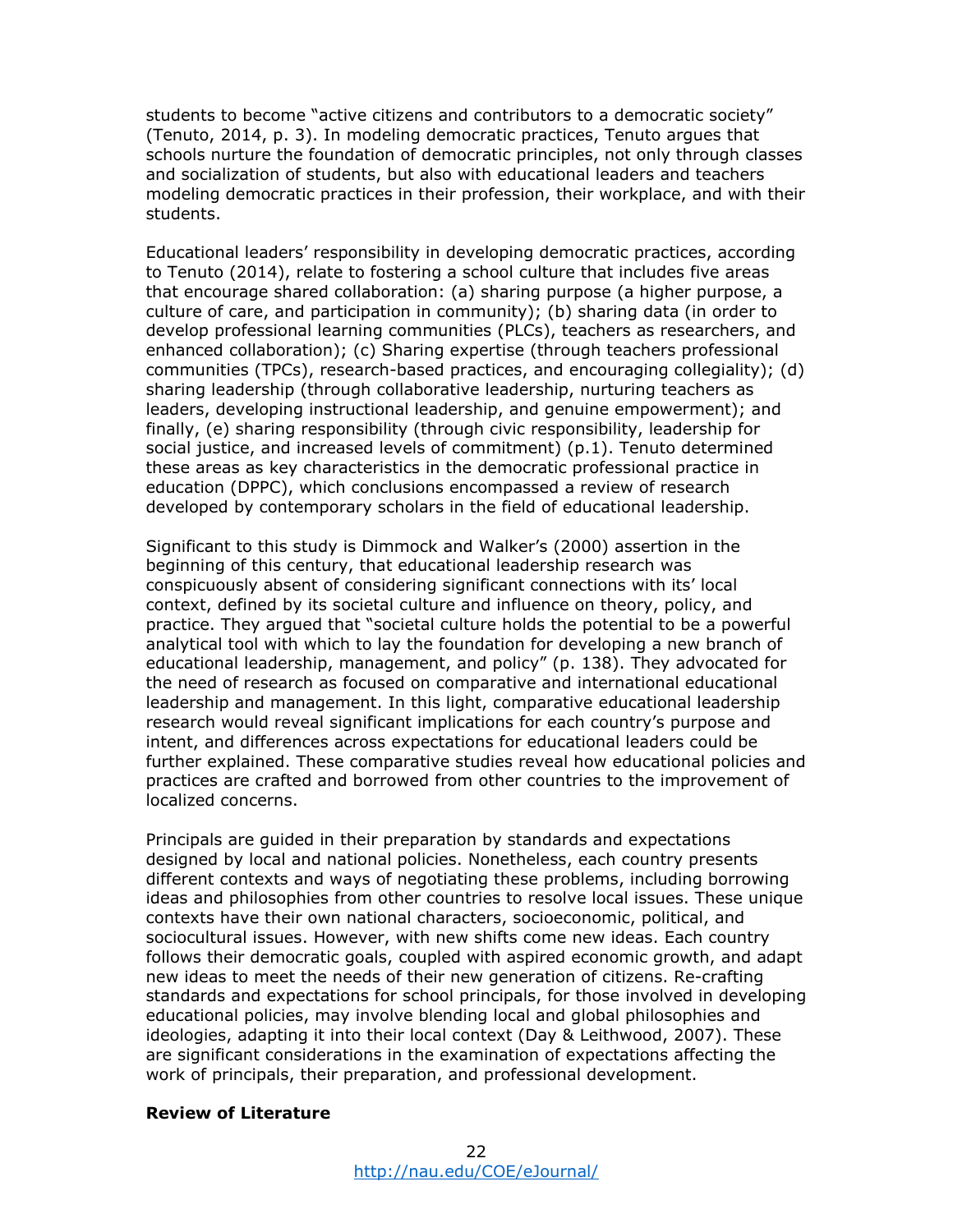students to become "active citizens and contributors to a democratic society" (Tenuto, 2014, p. 3). In modeling democratic practices, Tenuto argues that schools nurture the foundation of democratic principles, not only through classes and socialization of students, but also with educational leaders and teachers modeling democratic practices in their profession, their workplace, and with their students.

Educational leaders' responsibility in developing democratic practices, according to Tenuto (2014), relate to fostering a school culture that includes five areas that encourage shared collaboration: (a) sharing purpose (a higher purpose, a culture of care, and participation in community); (b) sharing data (in order to develop professional learning communities (PLCs), teachers as researchers, and enhanced collaboration); (c) Sharing expertise (through teachers professional communities (TPCs), research-based practices, and encouraging collegiality); (d) sharing leadership (through collaborative leadership, nurturing teachers as leaders, developing instructional leadership, and genuine empowerment); and finally, (e) sharing responsibility (through civic responsibility, leadership for social justice, and increased levels of commitment) (p.1). Tenuto determined these areas as key characteristics in the democratic professional practice in education (DPPC), which conclusions encompassed a review of research developed by contemporary scholars in the field of educational leadership.

Significant to this study is Dimmock and Walker's (2000) assertion in the beginning of this century, that educational leadership research was conspicuously absent of considering significant connections with its' local context, defined by its societal culture and influence on theory, policy, and practice. They argued that "societal culture holds the potential to be a powerful analytical tool with which to lay the foundation for developing a new branch of educational leadership, management, and policy" (p. 138). They advocated for the need of research as focused on comparative and international educational leadership and management. In this light, comparative educational leadership research would reveal significant implications for each country's purpose and intent, and differences across expectations for educational leaders could be further explained. These comparative studies reveal how educational policies and practices are crafted and borrowed from other countries to the improvement of localized concerns.

Principals are guided in their preparation by standards and expectations designed by local and national policies. Nonetheless, each country presents different contexts and ways of negotiating these problems, including borrowing ideas and philosophies from other countries to resolve local issues. These unique contexts have their own national characters, socioeconomic, political, and sociocultural issues. However, with new shifts come new ideas. Each country follows their democratic goals, coupled with aspired economic growth, and adapt new ideas to meet the needs of their new generation of citizens. Re-crafting standards and expectations for school principals, for those involved in developing educational policies, may involve blending local and global philosophies and ideologies, adapting it into their local context (Day & Leithwood, 2007). These are significant considerations in the examination of expectations affecting the work of principals, their preparation, and professional development.

#### **Review of Literature**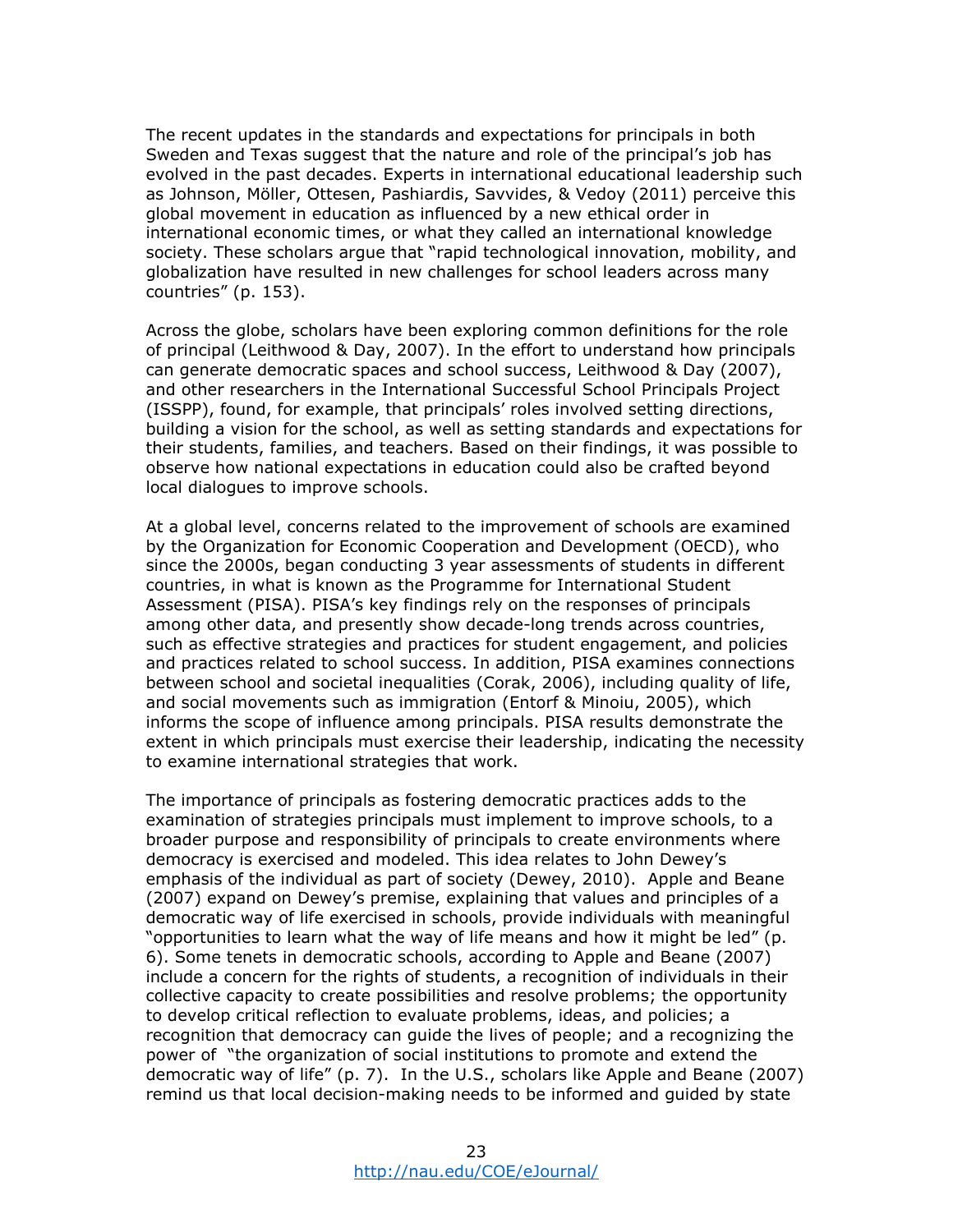The recent updates in the standards and expectations for principals in both Sweden and Texas suggest that the nature and role of the principal's job has evolved in the past decades. Experts in international educational leadership such as Johnson, Möller, Ottesen, Pashiardis, Savvides, & Vedoy (2011) perceive this global movement in education as influenced by a new ethical order in international economic times, or what they called an international knowledge society. These scholars argue that "rapid technological innovation, mobility, and globalization have resulted in new challenges for school leaders across many countries" (p. 153).

Across the globe, scholars have been exploring common definitions for the role of principal (Leithwood & Day, 2007). In the effort to understand how principals can generate democratic spaces and school success, Leithwood & Day (2007), and other researchers in the International Successful School Principals Project (ISSPP), found, for example, that principals' roles involved setting directions, building a vision for the school, as well as setting standards and expectations for their students, families, and teachers. Based on their findings, it was possible to observe how national expectations in education could also be crafted beyond local dialogues to improve schools.

At a global level, concerns related to the improvement of schools are examined by the Organization for Economic Cooperation and Development (OECD), who since the 2000s, began conducting 3 year assessments of students in different countries, in what is known as the Programme for International Student Assessment (PISA). PISA's key findings rely on the responses of principals among other data, and presently show decade-long trends across countries, such as effective strategies and practices for student engagement, and policies and practices related to school success. In addition, PISA examines connections between school and societal inequalities (Corak, 2006), including quality of life, and social movements such as immigration (Entorf & Minoiu, 2005), which informs the scope of influence among principals. PISA results demonstrate the extent in which principals must exercise their leadership, indicating the necessity to examine international strategies that work.

The importance of principals as fostering democratic practices adds to the examination of strategies principals must implement to improve schools, to a broader purpose and responsibility of principals to create environments where democracy is exercised and modeled. This idea relates to John Dewey's emphasis of the individual as part of society (Dewey, 2010). Apple and Beane (2007) expand on Dewey's premise, explaining that values and principles of a democratic way of life exercised in schools, provide individuals with meaningful "opportunities to learn what the way of life means and how it might be led" (p. 6). Some tenets in democratic schools, according to Apple and Beane (2007) include a concern for the rights of students, a recognition of individuals in their collective capacity to create possibilities and resolve problems; the opportunity to develop critical reflection to evaluate problems, ideas, and policies; a recognition that democracy can guide the lives of people; and a recognizing the power of "the organization of social institutions to promote and extend the democratic way of life" (p. 7). In the U.S., scholars like Apple and Beane (2007) remind us that local decision-making needs to be informed and guided by state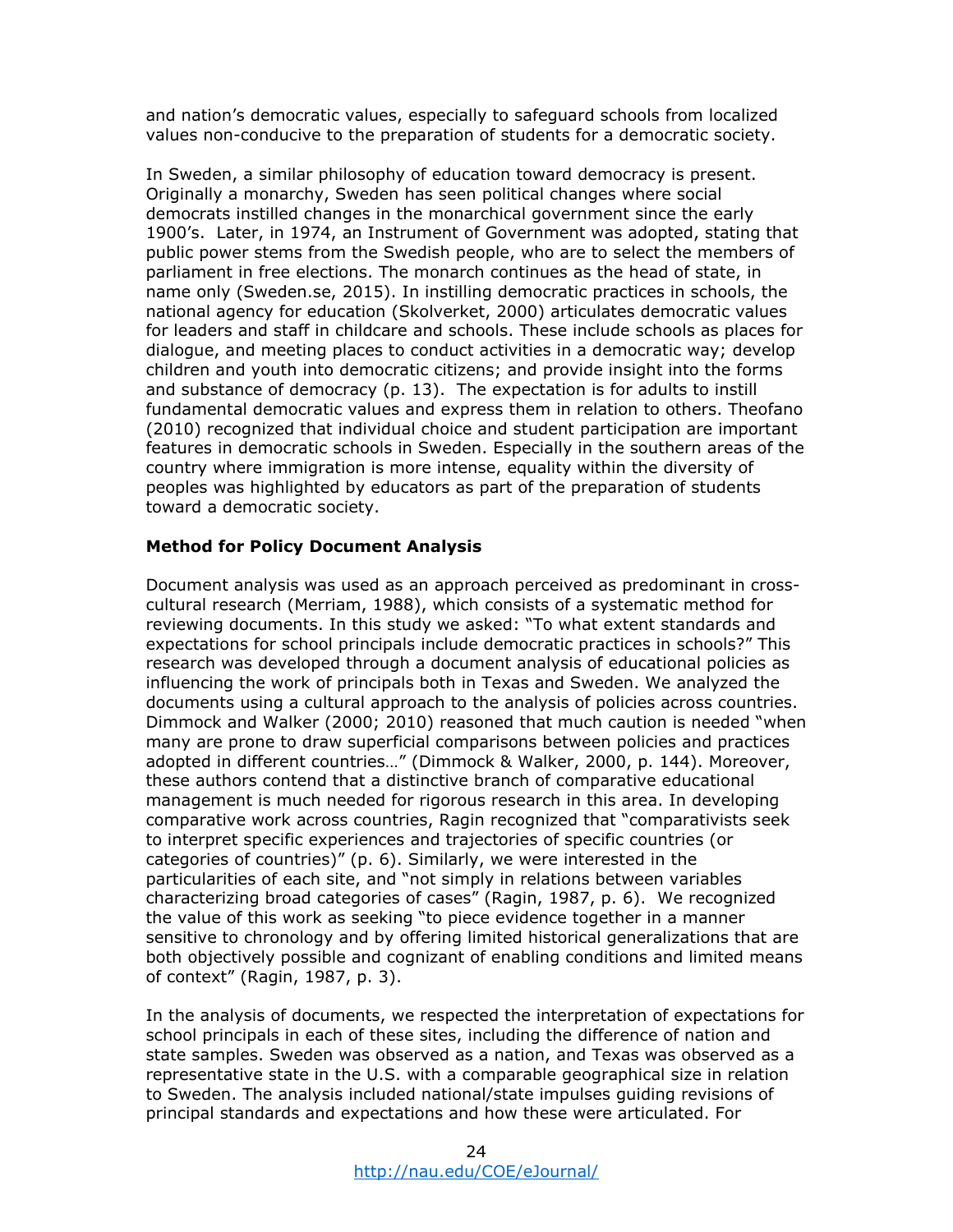and nation's democratic values, especially to safeguard schools from localized values non-conducive to the preparation of students for a democratic society.

In Sweden, a similar philosophy of education toward democracy is present. Originally a monarchy, Sweden has seen political changes where social democrats instilled changes in the monarchical government since the early 1900's. Later, in 1974, an Instrument of Government was adopted, stating that public power stems from the Swedish people, who are to select the members of parliament in free elections. The monarch continues as the head of state, in name only (Sweden.se, 2015). In instilling democratic practices in schools, the national agency for education (Skolverket, 2000) articulates democratic values for leaders and staff in childcare and schools. These include schools as places for dialogue, and meeting places to conduct activities in a democratic way; develop children and youth into democratic citizens; and provide insight into the forms and substance of democracy (p. 13). The expectation is for adults to instill fundamental democratic values and express them in relation to others. Theofano (2010) recognized that individual choice and student participation are important features in democratic schools in Sweden. Especially in the southern areas of the country where immigration is more intense, equality within the diversity of peoples was highlighted by educators as part of the preparation of students toward a democratic society.

### **Method for Policy Document Analysis**

Document analysis was used as an approach perceived as predominant in crosscultural research (Merriam, 1988), which consists of a systematic method for reviewing documents. In this study we asked: "To what extent standards and expectations for school principals include democratic practices in schools?" This research was developed through a document analysis of educational policies as influencing the work of principals both in Texas and Sweden. We analyzed the documents using a cultural approach to the analysis of policies across countries. Dimmock and Walker (2000; 2010) reasoned that much caution is needed "when many are prone to draw superficial comparisons between policies and practices adopted in different countries…" (Dimmock & Walker, 2000, p. 144). Moreover, these authors contend that a distinctive branch of comparative educational management is much needed for rigorous research in this area. In developing comparative work across countries, Ragin recognized that "comparativists seek to interpret specific experiences and trajectories of specific countries (or categories of countries)" (p. 6). Similarly, we were interested in the particularities of each site, and "not simply in relations between variables characterizing broad categories of cases" (Ragin, 1987, p. 6). We recognized the value of this work as seeking "to piece evidence together in a manner sensitive to chronology and by offering limited historical generalizations that are both objectively possible and cognizant of enabling conditions and limited means of context" (Ragin, 1987, p. 3).

In the analysis of documents, we respected the interpretation of expectations for school principals in each of these sites, including the difference of nation and state samples. Sweden was observed as a nation, and Texas was observed as a representative state in the U.S. with a comparable geographical size in relation to Sweden. The analysis included national/state impulses guiding revisions of principal standards and expectations and how these were articulated. For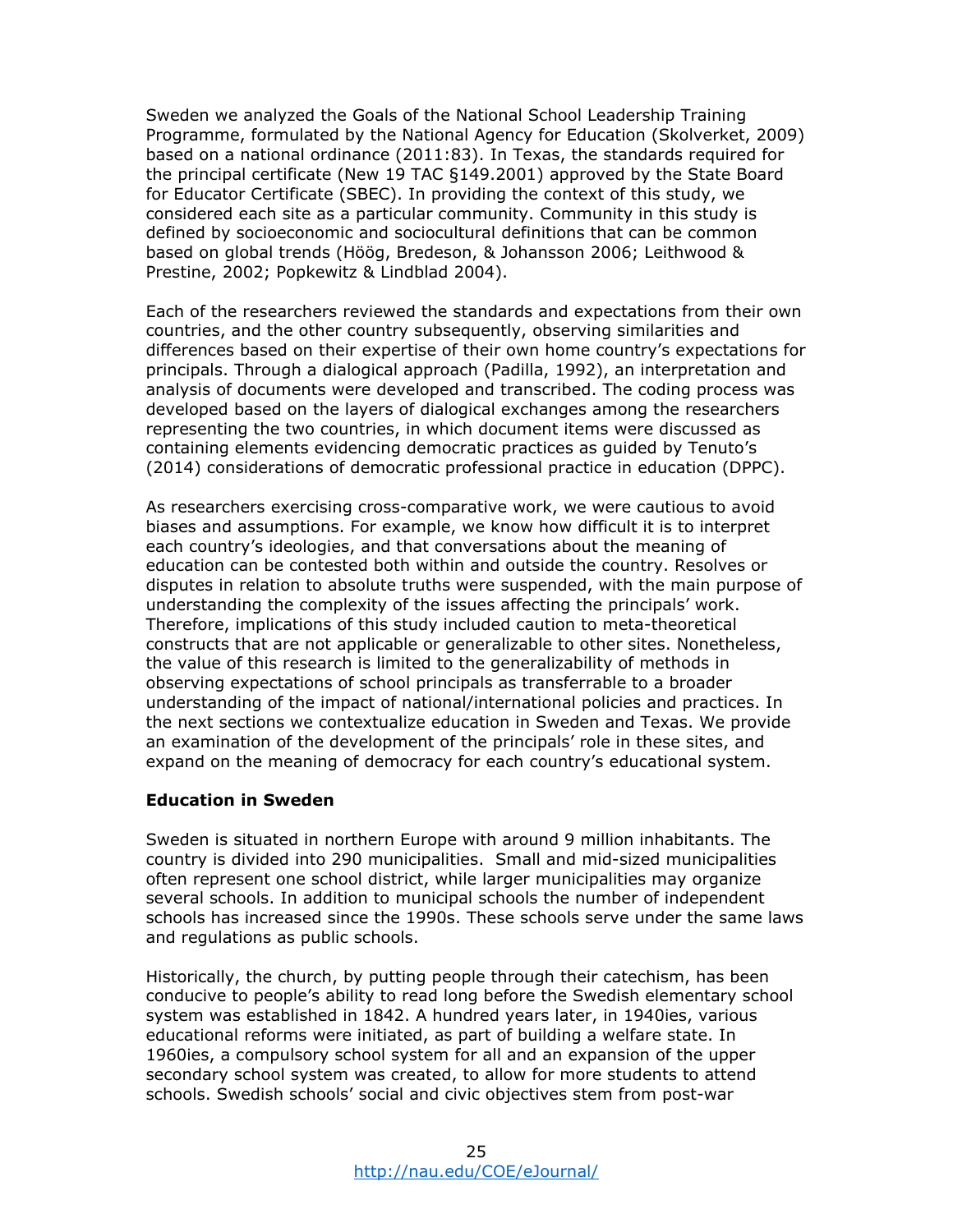Sweden we analyzed the Goals of the National School Leadership Training Programme, formulated by the National Agency for Education (Skolverket, 2009) based on a national ordinance (2011:83). In Texas, the standards required for the principal certificate (New 19 TAC §149.2001) approved by the State Board for Educator Certificate (SBEC). In providing the context of this study, we considered each site as a particular community. Community in this study is defined by socioeconomic and sociocultural definitions that can be common based on global trends (Höög, Bredeson, & Johansson 2006; Leithwood & Prestine, 2002; Popkewitz & Lindblad 2004).

Each of the researchers reviewed the standards and expectations from their own countries, and the other country subsequently, observing similarities and differences based on their expertise of their own home country's expectations for principals. Through a dialogical approach (Padilla, 1992), an interpretation and analysis of documents were developed and transcribed. The coding process was developed based on the layers of dialogical exchanges among the researchers representing the two countries, in which document items were discussed as containing elements evidencing democratic practices as guided by Tenuto's (2014) considerations of democratic professional practice in education (DPPC).

As researchers exercising cross-comparative work, we were cautious to avoid biases and assumptions. For example, we know how difficult it is to interpret each country's ideologies, and that conversations about the meaning of education can be contested both within and outside the country. Resolves or disputes in relation to absolute truths were suspended, with the main purpose of understanding the complexity of the issues affecting the principals' work. Therefore, implications of this study included caution to meta-theoretical constructs that are not applicable or generalizable to other sites. Nonetheless, the value of this research is limited to the generalizability of methods in observing expectations of school principals as transferrable to a broader understanding of the impact of national/international policies and practices. In the next sections we contextualize education in Sweden and Texas. We provide an examination of the development of the principals' role in these sites, and expand on the meaning of democracy for each country's educational system.

### **Education in Sweden**

Sweden is situated in northern Europe with around 9 million inhabitants. The country is divided into 290 municipalities. Small and mid-sized municipalities often represent one school district, while larger municipalities may organize several schools. In addition to municipal schools the number of independent schools has increased since the 1990s. These schools serve under the same laws and regulations as public schools.

Historically, the church, by putting people through their catechism, has been conducive to people's ability to read long before the Swedish elementary school system was established in 1842. A hundred years later, in 1940ies, various educational reforms were initiated, as part of building a welfare state. In 1960ies, a compulsory school system for all and an expansion of the upper secondary school system was created, to allow for more students to attend schools. Swedish schools' social and civic objectives stem from post-war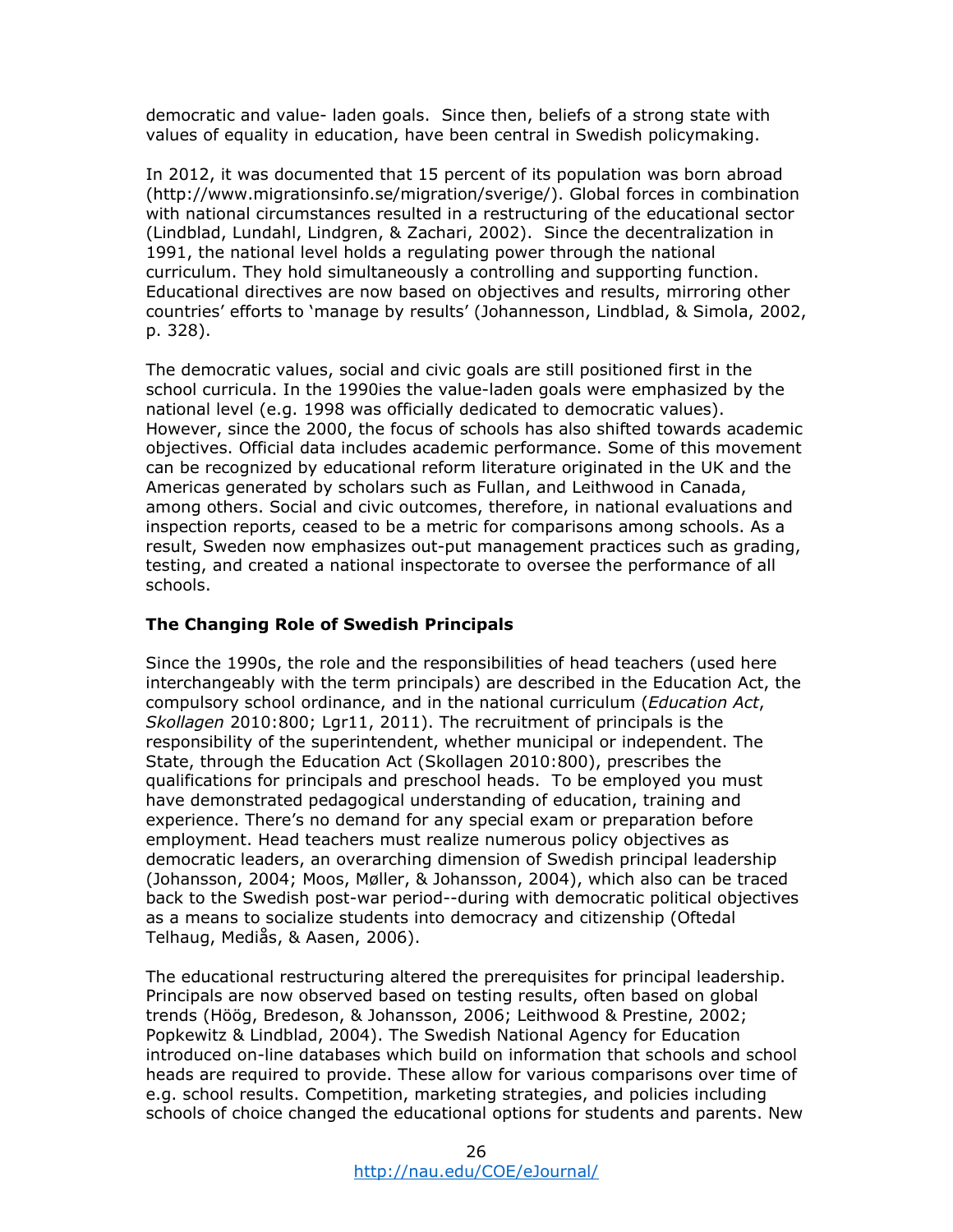democratic and value- laden goals. Since then, beliefs of a strong state with values of equality in education, have been central in Swedish policymaking.

In 2012, it was documented that 15 percent of its population was born abroad (http://www.migrationsinfo.se/migration/sverige/). Global forces in combination with national circumstances resulted in a restructuring of the educational sector (Lindblad, Lundahl, Lindgren, & Zachari, 2002). Since the decentralization in 1991, the national level holds a regulating power through the national curriculum. They hold simultaneously a controlling and supporting function. Educational directives are now based on objectives and results, mirroring other countries' efforts to 'manage by results' (Johannesson, Lindblad, & Simola, 2002, p. 328).

The democratic values, social and civic goals are still positioned first in the school curricula. In the 1990ies the value-laden goals were emphasized by the national level (e.g. 1998 was officially dedicated to democratic values). However, since the 2000, the focus of schools has also shifted towards academic objectives. Official data includes academic performance. Some of this movement can be recognized by educational reform literature originated in the UK and the Americas generated by scholars such as Fullan, and Leithwood in Canada, among others. Social and civic outcomes, therefore, in national evaluations and inspection reports, ceased to be a metric for comparisons among schools. As a result, Sweden now emphasizes out-put management practices such as grading, testing, and created a national inspectorate to oversee the performance of all schools.

### **The Changing Role of Swedish Principals**

Since the 1990s, the role and the responsibilities of head teachers (used here interchangeably with the term principals) are described in the Education Act, the compulsory school ordinance, and in the national curriculum (*Education Act*, *Skollagen* 2010:800; Lgr11, 2011). The recruitment of principals is the responsibility of the superintendent, whether municipal or independent. The State, through the Education Act (Skollagen 2010:800), prescribes the qualifications for principals and preschool heads. To be employed you must have demonstrated pedagogical understanding of education, training and experience. There's no demand for any special exam or preparation before employment. Head teachers must realize numerous policy objectives as democratic leaders, an overarching dimension of Swedish principal leadership (Johansson, 2004; Moos, Møller, & Johansson, 2004), which also can be traced back to the Swedish post-war period--during with democratic political objectives as a means to socialize students into democracy and citizenship (Oftedal Telhaug, Mediås, & Aasen, 2006).

The educational restructuring altered the prerequisites for principal leadership. Principals are now observed based on testing results, often based on global trends (Höög, Bredeson, & Johansson, 2006; Leithwood & Prestine, 2002; Popkewitz & Lindblad, 2004). The Swedish National Agency for Education introduced on-line databases which build on information that schools and school heads are required to provide. These allow for various comparisons over time of e.g. school results. Competition, marketing strategies, and policies including schools of choice changed the educational options for students and parents. New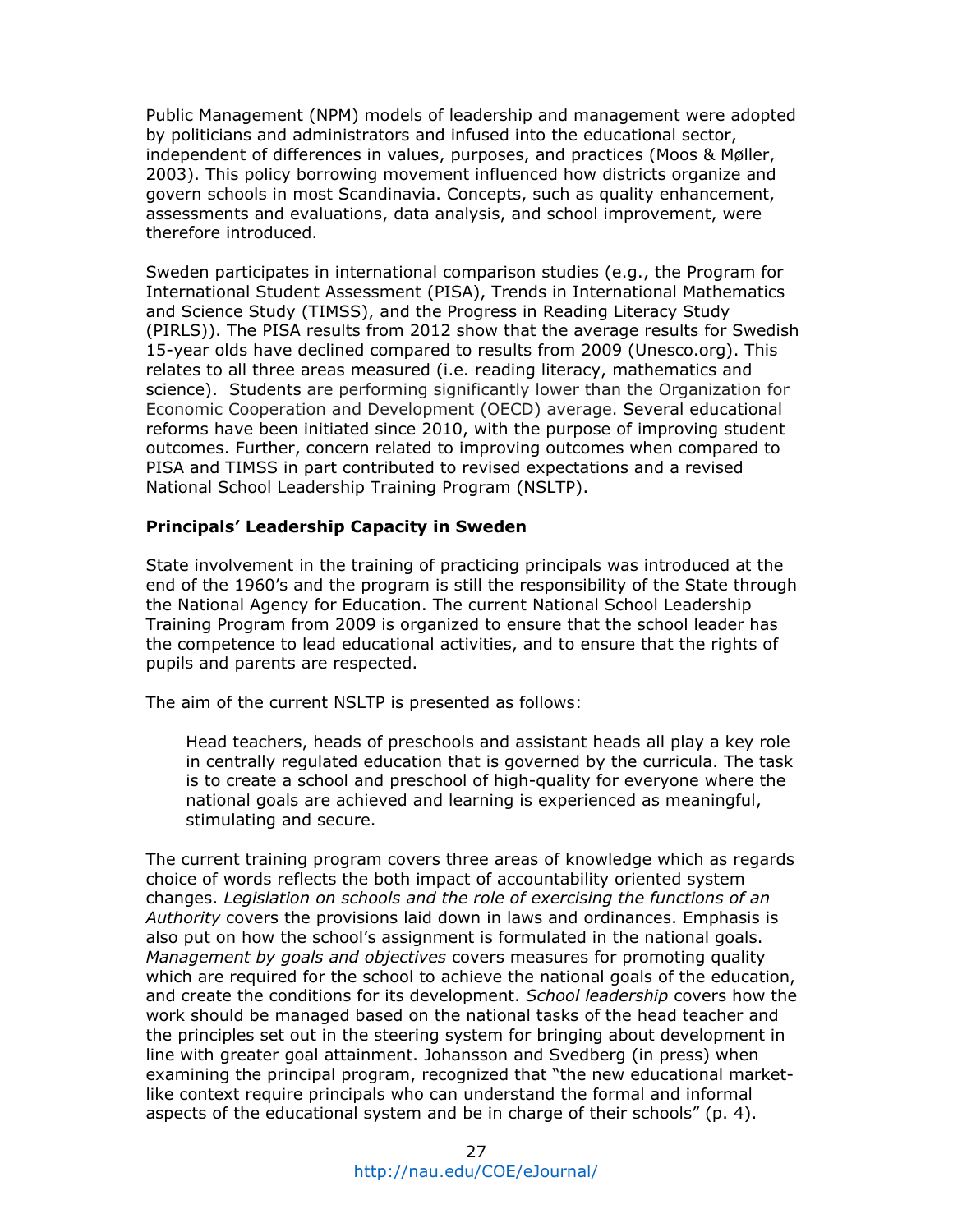Public Management (NPM) models of leadership and management were adopted by politicians and administrators and infused into the educational sector, independent of differences in values, purposes, and practices (Moos & Møller, 2003). This policy borrowing movement influenced how districts organize and govern schools in most Scandinavia. Concepts, such as quality enhancement, assessments and evaluations, data analysis, and school improvement, were therefore introduced.

Sweden participates in international comparison studies (e.g., the Program for International Student Assessment (PISA), Trends in International Mathematics and Science Study (TIMSS), and the Progress in Reading Literacy Study (PIRLS)). The PISA results from 2012 show that the average results for Swedish 15-year olds have declined compared to results from 2009 (Unesco.org). This relates to all three areas measured (i.e. reading literacy, mathematics and science). Students are performing significantly lower than the Organization for Economic Cooperation and Development (OECD) average. Several educational reforms have been initiated since 2010, with the purpose of improving student outcomes. Further, concern related to improving outcomes when compared to PISA and TIMSS in part contributed to revised expectations and a revised National School Leadership Training Program (NSLTP).

### **Principals' Leadership Capacity in Sweden**

State involvement in the training of practicing principals was introduced at the end of the 1960's and the program is still the responsibility of the State through the National Agency for Education. The current National School Leadership Training Program from 2009 is organized to ensure that the school leader has the competence to lead educational activities, and to ensure that the rights of pupils and parents are respected.

The aim of the current NSLTP is presented as follows:

Head teachers, heads of preschools and assistant heads all play a key role in centrally regulated education that is governed by the curricula. The task is to create a school and preschool of high-quality for everyone where the national goals are achieved and learning is experienced as meaningful, stimulating and secure.

The current training program covers three areas of knowledge which as regards choice of words reflects the both impact of accountability oriented system changes. *Legislation on schools and the role of exercising the functions of an Authority* covers the provisions laid down in laws and ordinances. Emphasis is also put on how the school's assignment is formulated in the national goals. *Management by goals and objectives* covers measures for promoting quality which are required for the school to achieve the national goals of the education, and create the conditions for its development. *School leadership* covers how the work should be managed based on the national tasks of the head teacher and the principles set out in the steering system for bringing about development in line with greater goal attainment. Johansson and Svedberg (in press) when examining the principal program, recognized that "the new educational marketlike context require principals who can understand the formal and informal aspects of the educational system and be in charge of their schools" (p. 4).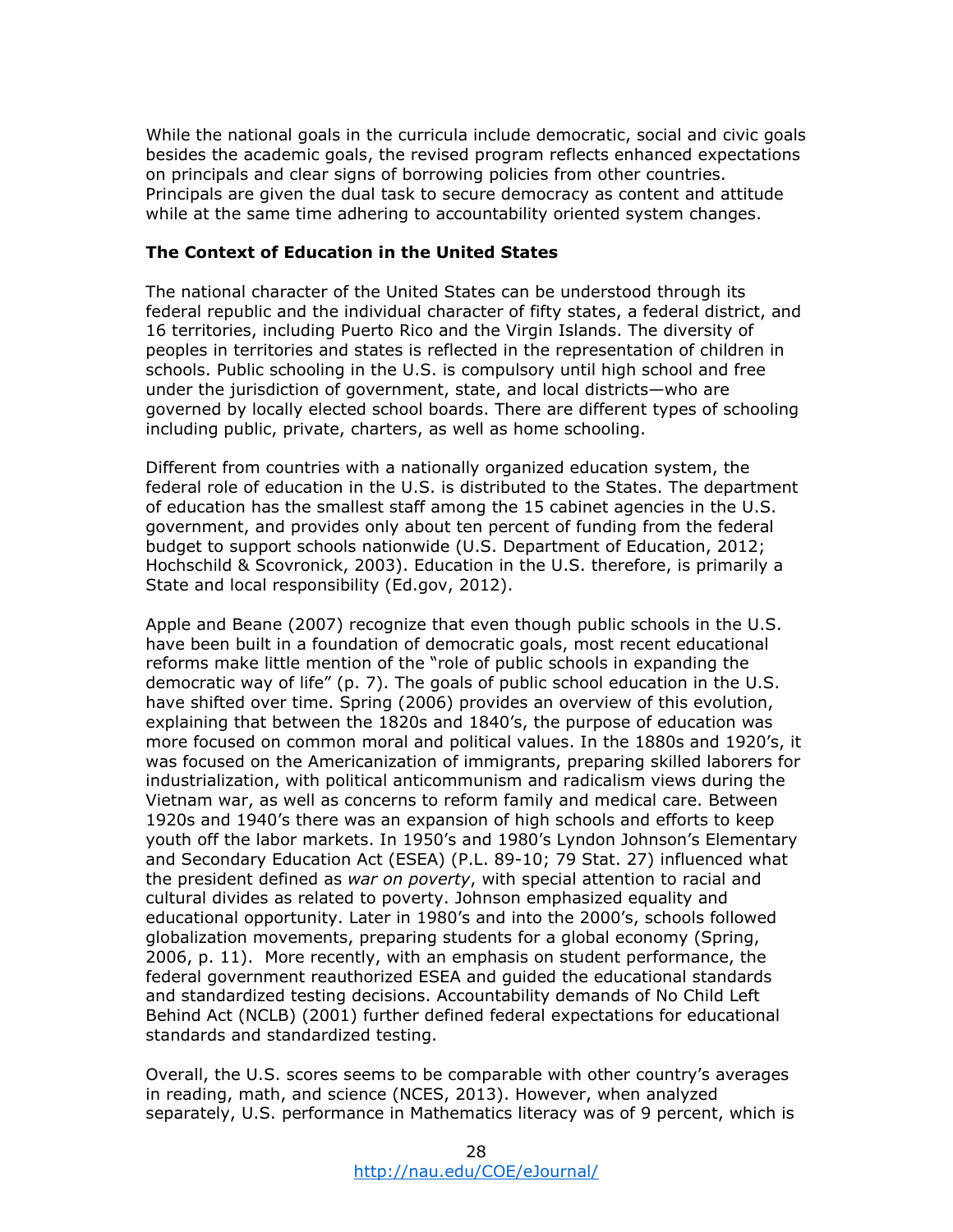While the national goals in the curricula include democratic, social and civic goals besides the academic goals, the revised program reflects enhanced expectations on principals and clear signs of borrowing policies from other countries. Principals are given the dual task to secure democracy as content and attitude while at the same time adhering to accountability oriented system changes.

# **The Context of Education in the United States**

The national character of the United States can be understood through its federal republic and the individual character of fifty states, a federal district, and 16 territories, including Puerto Rico and the Virgin Islands. The diversity of peoples in territories and states is reflected in the representation of children in schools. Public schooling in the U.S. is compulsory until high school and free under the jurisdiction of government, state, and local districts—who are governed by locally elected school boards. There are different types of schooling including public, private, charters, as well as home schooling.

Different from countries with a nationally organized education system, the federal role of education in the U.S. is distributed to the States. The department of education has the smallest staff among the 15 cabinet agencies in the U.S. government, and provides only about ten percent of funding from the federal budget to support schools nationwide (U.S. Department of Education, 2012; Hochschild & Scovronick, 2003). Education in the U.S. therefore, is primarily a State and local responsibility (Ed.gov, 2012).

Apple and Beane (2007) recognize that even though public schools in the U.S. have been built in a foundation of democratic goals, most recent educational reforms make little mention of the "role of public schools in expanding the democratic way of life" (p. 7). The goals of public school education in the U.S. have shifted over time. Spring (2006) provides an overview of this evolution, explaining that between the 1820s and 1840's, the purpose of education was more focused on common moral and political values. In the 1880s and 1920's, it was focused on the Americanization of immigrants, preparing skilled laborers for industrialization, with political anticommunism and radicalism views during the Vietnam war, as well as concerns to reform family and medical care. Between 1920s and 1940's there was an expansion of high schools and efforts to keep youth off the labor markets. In 1950's and 1980's Lyndon Johnson's Elementary and Secondary Education Act (ESEA) (P.L. 89-10; 79 Stat. 27) influenced what the president defined as *war on poverty*, with special attention to racial and cultural divides as related to poverty. Johnson emphasized equality and educational opportunity. Later in 1980's and into the 2000's, schools followed globalization movements, preparing students for a global economy (Spring, 2006, p. 11). More recently, with an emphasis on student performance, the federal government reauthorized ESEA and guided the educational standards and standardized testing decisions. Accountability demands of No Child Left Behind Act (NCLB) (2001) further defined federal expectations for educational standards and standardized testing.

Overall, the U.S. scores seems to be comparable with other country's averages in reading, math, and science (NCES, 2013). However, when analyzed separately, U.S. performance in Mathematics literacy was of 9 percent, which is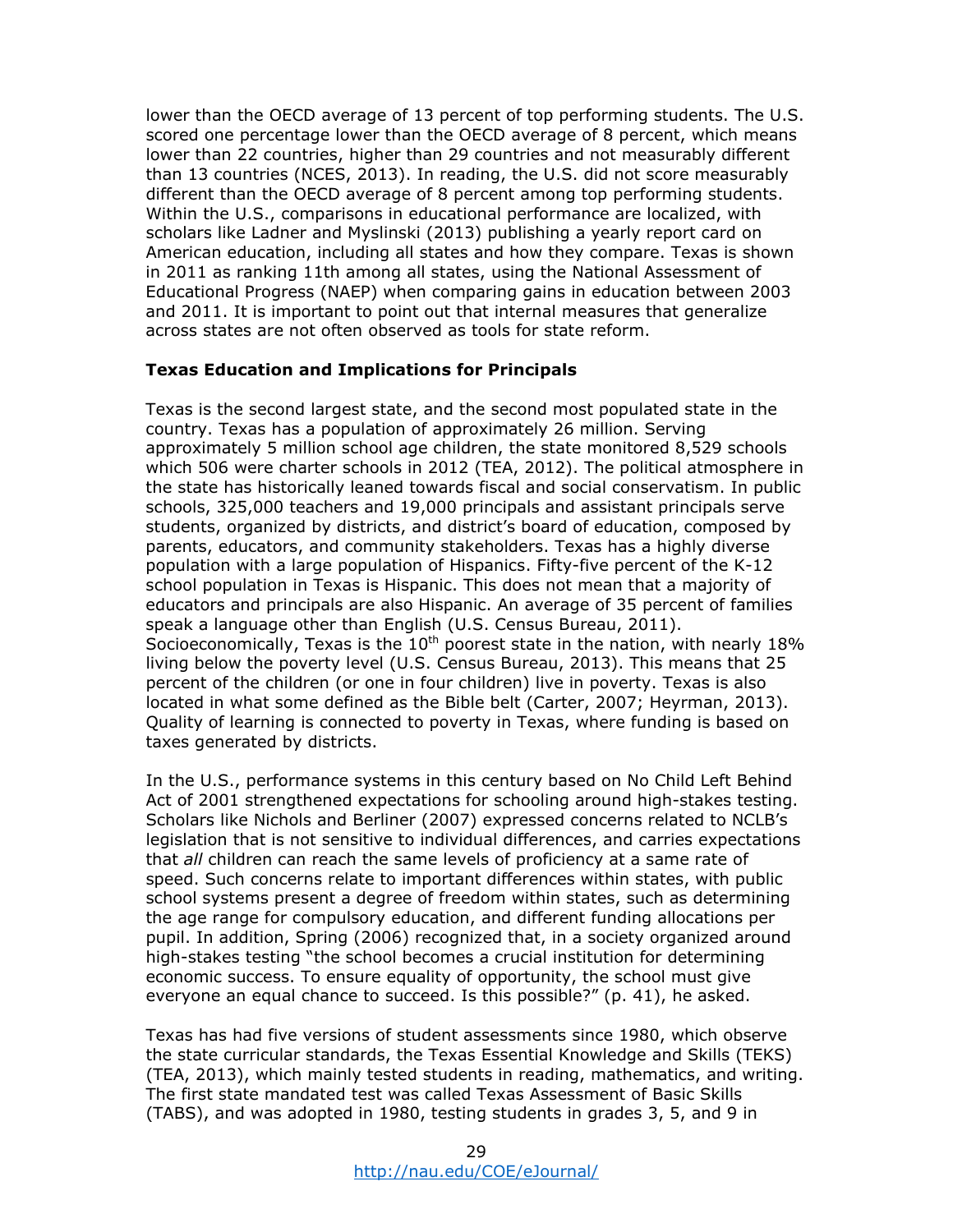lower than the OECD average of 13 percent of top performing students. The U.S. scored one percentage lower than the OECD average of 8 percent, which means lower than 22 countries, higher than 29 countries and not measurably different than 13 countries (NCES, 2013). In reading, the U.S. did not score measurably different than the OECD average of 8 percent among top performing students. Within the U.S., comparisons in educational performance are localized, with scholars like Ladner and Myslinski (2013) publishing a yearly report card on American education, including all states and how they compare. Texas is shown in 2011 as ranking 11th among all states, using the National Assessment of Educational Progress (NAEP) when comparing gains in education between 2003 and 2011. It is important to point out that internal measures that generalize across states are not often observed as tools for state reform.

### **Texas Education and Implications for Principals**

Texas is the second largest state, and the second most populated state in the country. Texas has a population of approximately 26 million. Serving approximately 5 million school age children, the state monitored 8,529 schools which 506 were charter schools in 2012 (TEA, 2012). The political atmosphere in the state has historically leaned towards fiscal and social conservatism. In public schools, 325,000 teachers and 19,000 principals and assistant principals serve students, organized by districts, and district's board of education, composed by parents, educators, and community stakeholders. Texas has a highly diverse population with a large population of Hispanics. Fifty-five percent of the K-12 school population in Texas is Hispanic. This does not mean that a majority of educators and principals are also Hispanic. An average of 35 percent of families speak a language other than English (U.S. Census Bureau, 2011). Socioeconomically, Texas is the  $10^{th}$  poorest state in the nation, with nearly 18% living below the poverty level (U.S. Census Bureau, 2013). This means that 25 percent of the children (or one in four children) live in poverty. Texas is also located in what some defined as the Bible belt (Carter, 2007; Heyrman, 2013). Quality of learning is connected to poverty in Texas, where funding is based on taxes generated by districts.

In the U.S., performance systems in this century based on No Child Left Behind Act of 2001 strengthened expectations for schooling around high-stakes testing. Scholars like Nichols and Berliner (2007) expressed concerns related to NCLB's legislation that is not sensitive to individual differences, and carries expectations that *all* children can reach the same levels of proficiency at a same rate of speed. Such concerns relate to important differences within states, with public school systems present a degree of freedom within states, such as determining the age range for compulsory education, and different funding allocations per pupil. In addition, Spring (2006) recognized that, in a society organized around high-stakes testing "the school becomes a crucial institution for determining economic success. To ensure equality of opportunity, the school must give everyone an equal chance to succeed. Is this possible?" (p. 41), he asked.

Texas has had five versions of student assessments since 1980, which observe the state curricular standards, the Texas Essential Knowledge and Skills (TEKS) (TEA, 2013), which mainly tested students in reading, mathematics, and writing. The first state mandated test was called Texas Assessment of Basic Skills (TABS), and was adopted in 1980, testing students in grades 3, 5, and 9 in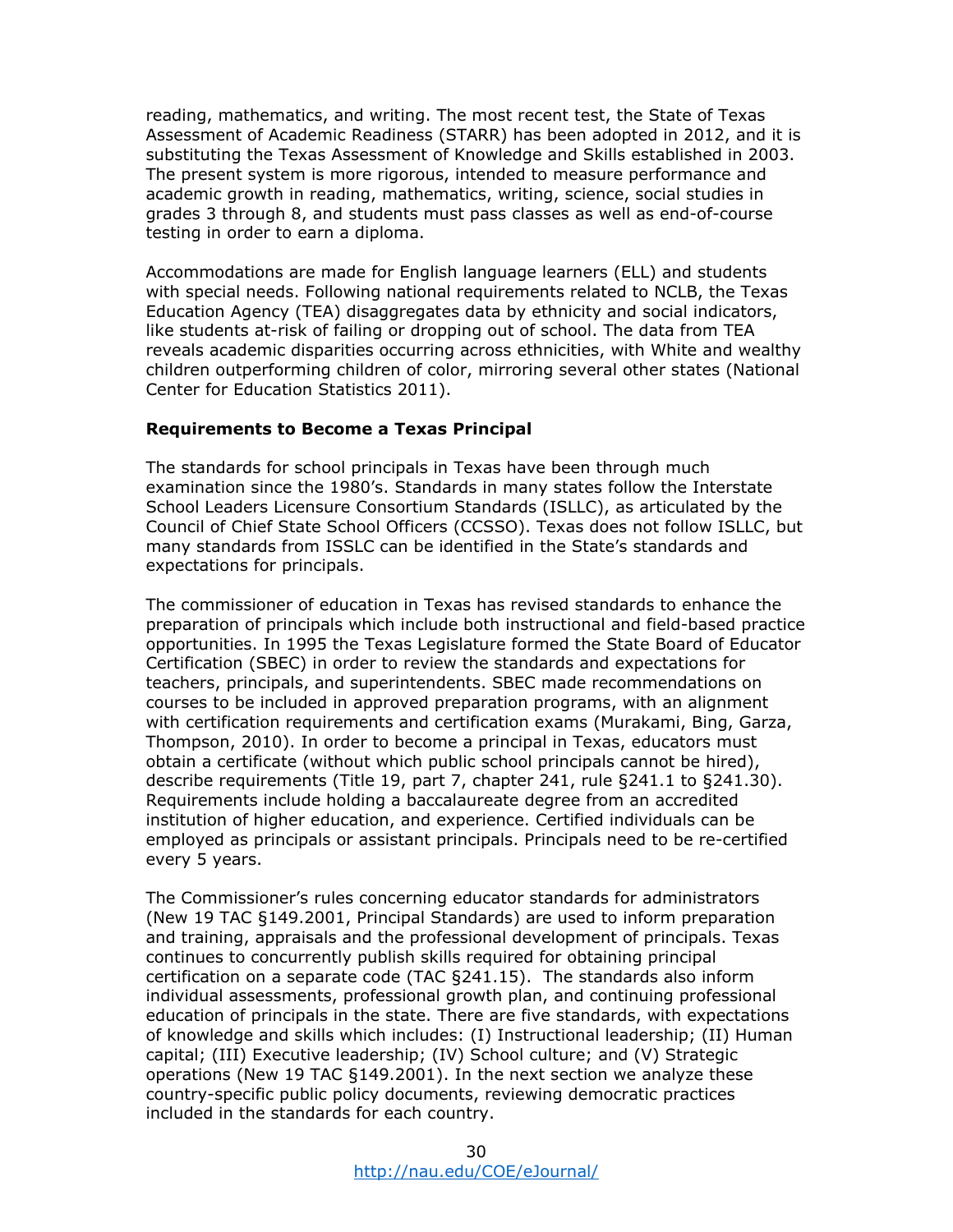reading, mathematics, and writing. The most recent test, the State of Texas Assessment of Academic Readiness (STARR) has been adopted in 2012, and it is substituting the Texas Assessment of Knowledge and Skills established in 2003. The present system is more rigorous, intended to measure performance and academic growth in reading, mathematics, writing, science, social studies in grades 3 through 8, and students must pass classes as well as end-of-course testing in order to earn a diploma.

Accommodations are made for English language learners (ELL) and students with special needs. Following national requirements related to NCLB, the Texas Education Agency (TEA) disaggregates data by ethnicity and social indicators, like students at-risk of failing or dropping out of school. The data from TEA reveals academic disparities occurring across ethnicities, with White and wealthy children outperforming children of color, mirroring several other states (National Center for Education Statistics 2011).

### **Requirements to Become a Texas Principal**

The standards for school principals in Texas have been through much examination since the 1980's. Standards in many states follow the Interstate School Leaders Licensure Consortium Standards (ISLLC), as articulated by the Council of Chief State School Officers (CCSSO). Texas does not follow ISLLC, but many standards from ISSLC can be identified in the State's standards and expectations for principals.

The commissioner of education in Texas has revised standards to enhance the preparation of principals which include both instructional and field-based practice opportunities. In 1995 the Texas Legislature formed the State Board of Educator Certification (SBEC) in order to review the standards and expectations for teachers, principals, and superintendents. SBEC made recommendations on courses to be included in approved preparation programs, with an alignment with certification requirements and certification exams (Murakami, Bing, Garza, Thompson, 2010). In order to become a principal in Texas, educators must obtain a certificate (without which public school principals cannot be hired), describe requirements (Title 19, part 7, chapter 241, rule §241.1 to §241.30). Requirements include holding a baccalaureate degree from an accredited institution of higher education, and experience. Certified individuals can be employed as principals or assistant principals. Principals need to be re-certified every 5 years.

The Commissioner's rules concerning educator standards for administrators (New 19 TAC §149.2001, Principal Standards) are used to inform preparation and training, appraisals and the professional development of principals. Texas continues to concurrently publish skills required for obtaining principal certification on a separate code (TAC §241.15). The standards also inform individual assessments, professional growth plan, and continuing professional education of principals in the state. There are five standards, with expectations of knowledge and skills which includes: (I) Instructional leadership; (II) Human capital; (III) Executive leadership; (IV) School culture; and (V) Strategic operations (New 19 TAC §149.2001). In the next section we analyze these country-specific public policy documents, reviewing democratic practices included in the standards for each country.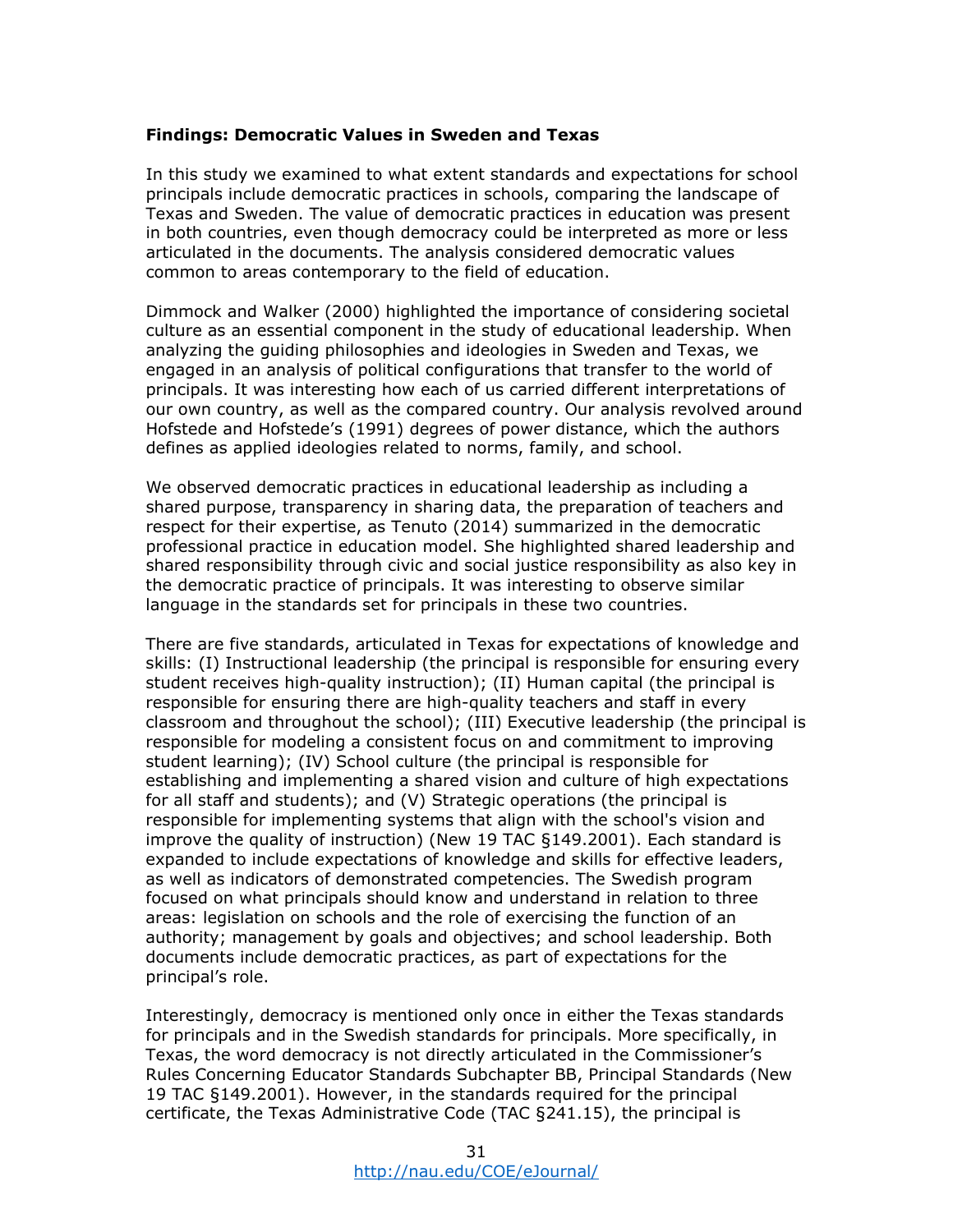### **Findings: Democratic Values in Sweden and Texas**

In this study we examined to what extent standards and expectations for school principals include democratic practices in schools, comparing the landscape of Texas and Sweden. The value of democratic practices in education was present in both countries, even though democracy could be interpreted as more or less articulated in the documents. The analysis considered democratic values common to areas contemporary to the field of education.

Dimmock and Walker (2000) highlighted the importance of considering societal culture as an essential component in the study of educational leadership. When analyzing the guiding philosophies and ideologies in Sweden and Texas, we engaged in an analysis of political configurations that transfer to the world of principals. It was interesting how each of us carried different interpretations of our own country, as well as the compared country. Our analysis revolved around Hofstede and Hofstede's (1991) degrees of power distance, which the authors defines as applied ideologies related to norms, family, and school.

We observed democratic practices in educational leadership as including a shared purpose, transparency in sharing data, the preparation of teachers and respect for their expertise, as Tenuto (2014) summarized in the democratic professional practice in education model. She highlighted shared leadership and shared responsibility through civic and social justice responsibility as also key in the democratic practice of principals. It was interesting to observe similar language in the standards set for principals in these two countries.

There are five standards, articulated in Texas for expectations of knowledge and skills: (I) Instructional leadership (the principal is responsible for ensuring every student receives high-quality instruction); (II) Human capital (the principal is responsible for ensuring there are high-quality teachers and staff in every classroom and throughout the school); (III) Executive leadership (the principal is responsible for modeling a consistent focus on and commitment to improving student learning); (IV) School culture (the principal is responsible for establishing and implementing a shared vision and culture of high expectations for all staff and students); and (V) Strategic operations (the principal is responsible for implementing systems that align with the school's vision and improve the quality of instruction) (New 19 TAC §149.2001). Each standard is expanded to include expectations of knowledge and skills for effective leaders, as well as indicators of demonstrated competencies. The Swedish program focused on what principals should know and understand in relation to three areas: legislation on schools and the role of exercising the function of an authority; management by goals and objectives; and school leadership. Both documents include democratic practices, as part of expectations for the principal's role.

Interestingly, democracy is mentioned only once in either the Texas standards for principals and in the Swedish standards for principals. More specifically, in Texas, the word democracy is not directly articulated in the Commissioner's Rules Concerning Educator Standards Subchapter BB, Principal Standards (New 19 TAC §149.2001). However, in the standards required for the principal certificate, the Texas Administrative Code (TAC §241.15), the principal is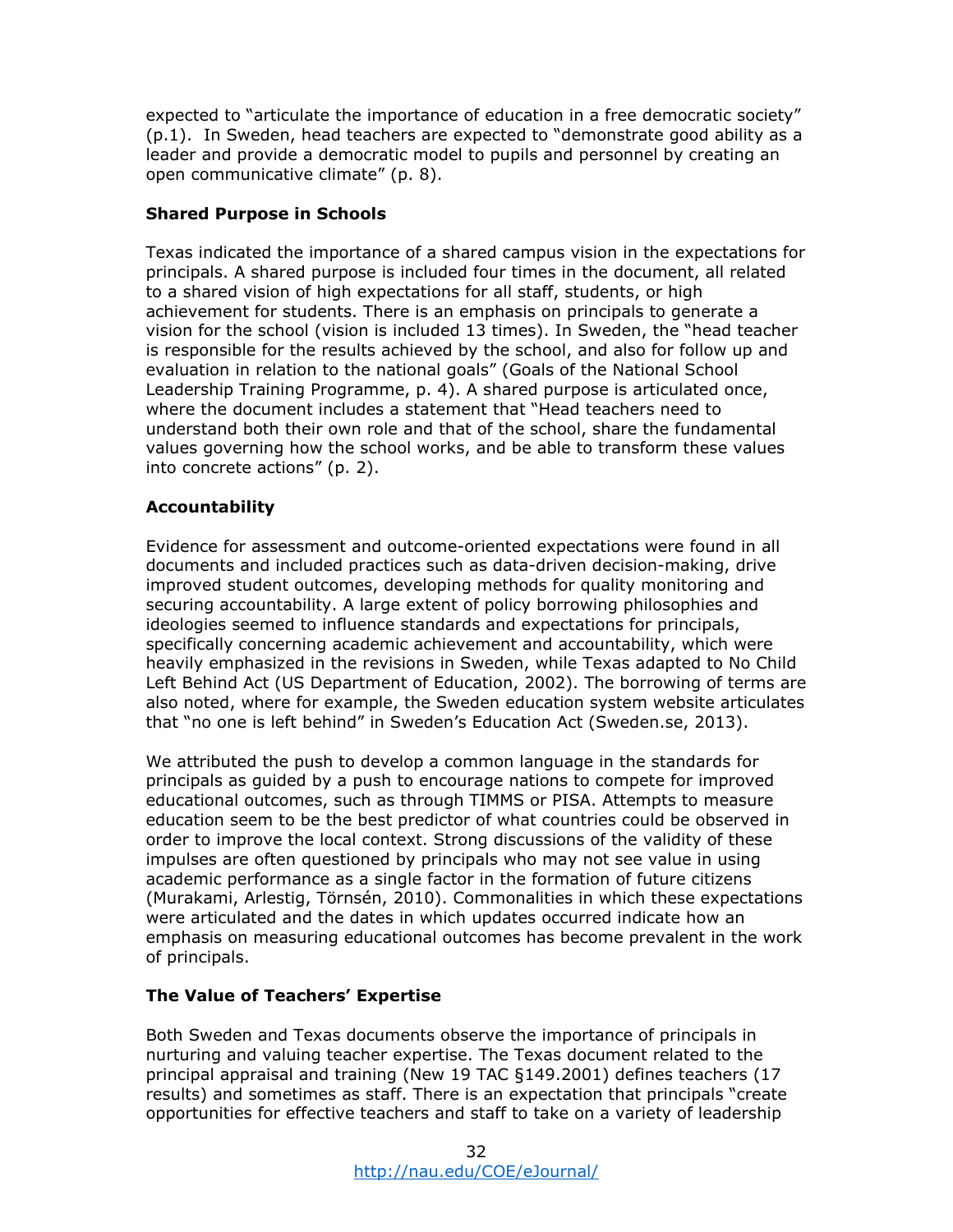expected to "articulate the importance of education in a free democratic society" (p.1). In Sweden, head teachers are expected to "demonstrate good ability as a leader and provide a democratic model to pupils and personnel by creating an open communicative climate" (p. 8).

# **Shared Purpose in Schools**

Texas indicated the importance of a shared campus vision in the expectations for principals. A shared purpose is included four times in the document, all related to a shared vision of high expectations for all staff, students, or high achievement for students. There is an emphasis on principals to generate a vision for the school (vision is included 13 times). In Sweden, the "head teacher is responsible for the results achieved by the school, and also for follow up and evaluation in relation to the national goals" (Goals of the National School Leadership Training Programme, p. 4). A shared purpose is articulated once, where the document includes a statement that "Head teachers need to understand both their own role and that of the school, share the fundamental values governing how the school works, and be able to transform these values into concrete actions" (p. 2).

# **Accountability**

Evidence for assessment and outcome-oriented expectations were found in all documents and included practices such as data-driven decision-making, drive improved student outcomes, developing methods for quality monitoring and securing accountability. A large extent of policy borrowing philosophies and ideologies seemed to influence standards and expectations for principals, specifically concerning academic achievement and accountability, which were heavily emphasized in the revisions in Sweden, while Texas adapted to No Child Left Behind Act (US Department of Education, 2002). The borrowing of terms are also noted, where for example, the Sweden education system website articulates that "no one is left behind" in Sweden's Education Act (Sweden.se, 2013).

We attributed the push to develop a common language in the standards for principals as guided by a push to encourage nations to compete for improved educational outcomes, such as through TIMMS or PISA. Attempts to measure education seem to be the best predictor of what countries could be observed in order to improve the local context. Strong discussions of the validity of these impulses are often questioned by principals who may not see value in using academic performance as a single factor in the formation of future citizens (Murakami, Arlestig, Törnsén, 2010). Commonalities in which these expectations were articulated and the dates in which updates occurred indicate how an emphasis on measuring educational outcomes has become prevalent in the work of principals.

# **The Value of Teachers' Expertise**

Both Sweden and Texas documents observe the importance of principals in nurturing and valuing teacher expertise. The Texas document related to the principal appraisal and training (New 19 TAC §149.2001) defines teachers (17 results) and sometimes as staff. There is an expectation that principals "create opportunities for effective teachers and staff to take on a variety of leadership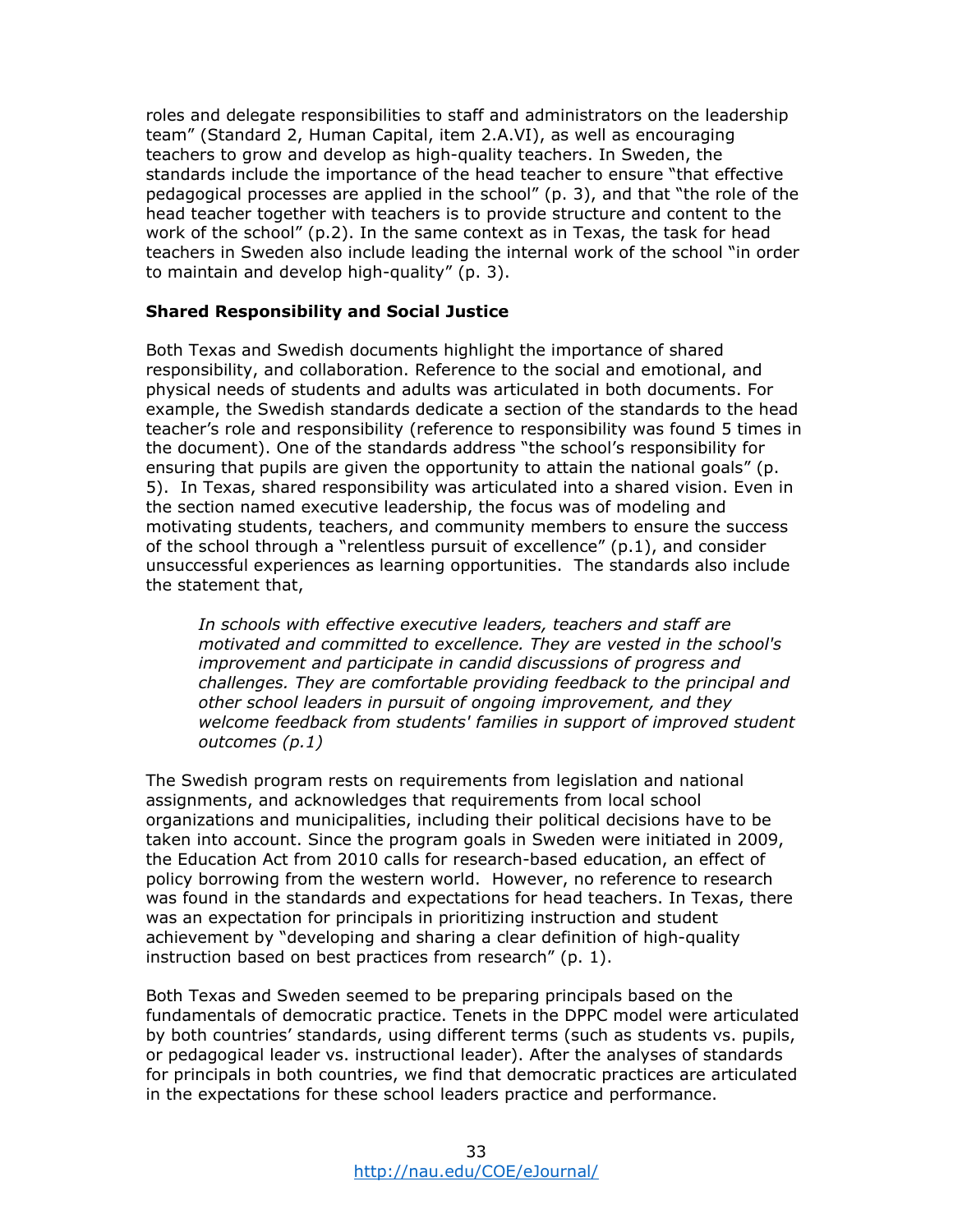roles and delegate responsibilities to staff and administrators on the leadership team" (Standard 2, Human Capital, item 2.A.VI), as well as encouraging teachers to grow and develop as high-quality teachers. In Sweden, the standards include the importance of the head teacher to ensure "that effective pedagogical processes are applied in the school" (p. 3), and that "the role of the head teacher together with teachers is to provide structure and content to the work of the school" (p.2). In the same context as in Texas, the task for head teachers in Sweden also include leading the internal work of the school "in order to maintain and develop high-quality" (p. 3).

### **Shared Responsibility and Social Justice**

Both Texas and Swedish documents highlight the importance of shared responsibility, and collaboration. Reference to the social and emotional, and physical needs of students and adults was articulated in both documents. For example, the Swedish standards dedicate a section of the standards to the head teacher's role and responsibility (reference to responsibility was found 5 times in the document). One of the standards address "the school's responsibility for ensuring that pupils are given the opportunity to attain the national goals" (p. 5). In Texas, shared responsibility was articulated into a shared vision. Even in the section named executive leadership, the focus was of modeling and motivating students, teachers, and community members to ensure the success of the school through a "relentless pursuit of excellence"  $(p,1)$ , and consider unsuccessful experiences as learning opportunities. The standards also include the statement that,

*In schools with effective executive leaders, teachers and staff are motivated and committed to excellence. They are vested in the school's improvement and participate in candid discussions of progress and challenges. They are comfortable providing feedback to the principal and other school leaders in pursuit of ongoing improvement, and they welcome feedback from students' families in support of improved student outcomes (p.1)* 

The Swedish program rests on requirements from legislation and national assignments, and acknowledges that requirements from local school organizations and municipalities, including their political decisions have to be taken into account. Since the program goals in Sweden were initiated in 2009, the Education Act from 2010 calls for research-based education, an effect of policy borrowing from the western world. However, no reference to research was found in the standards and expectations for head teachers. In Texas, there was an expectation for principals in prioritizing instruction and student achievement by "developing and sharing a clear definition of high-quality instruction based on best practices from research" (p. 1).

Both Texas and Sweden seemed to be preparing principals based on the fundamentals of democratic practice. Tenets in the DPPC model were articulated by both countries' standards, using different terms (such as students vs. pupils, or pedagogical leader vs. instructional leader). After the analyses of standards for principals in both countries, we find that democratic practices are articulated in the expectations for these school leaders practice and performance.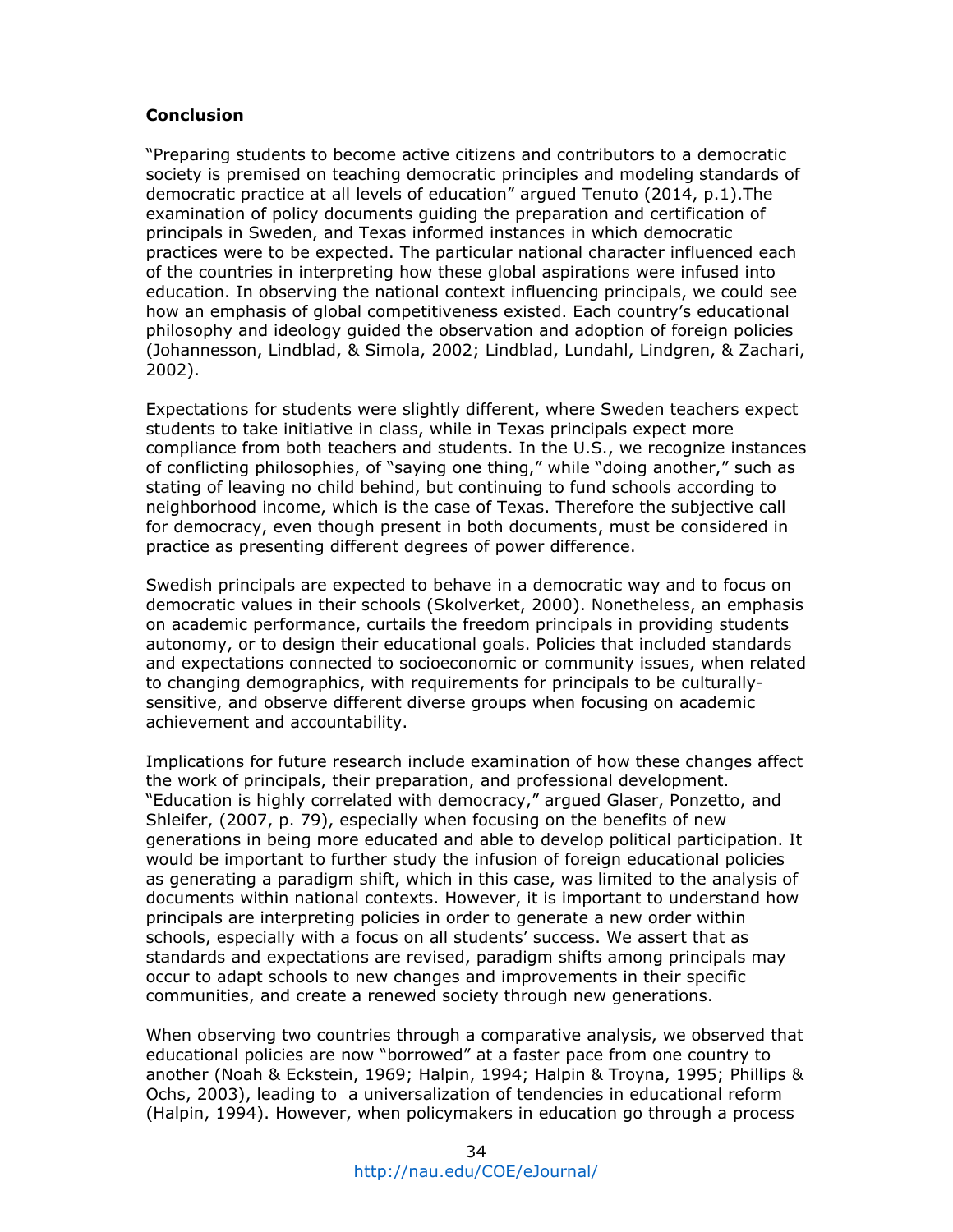# **Conclusion**

"Preparing students to become active citizens and contributors to a democratic society is premised on teaching democratic principles and modeling standards of democratic practice at all levels of education" argued Tenuto (2014, p.1).The examination of policy documents guiding the preparation and certification of principals in Sweden, and Texas informed instances in which democratic practices were to be expected. The particular national character influenced each of the countries in interpreting how these global aspirations were infused into education. In observing the national context influencing principals, we could see how an emphasis of global competitiveness existed. Each country's educational philosophy and ideology guided the observation and adoption of foreign policies (Johannesson, Lindblad, & Simola, 2002; Lindblad, Lundahl, Lindgren, & Zachari, 2002).

Expectations for students were slightly different, where Sweden teachers expect students to take initiative in class, while in Texas principals expect more compliance from both teachers and students. In the U.S., we recognize instances of conflicting philosophies, of "saying one thing," while "doing another," such as stating of leaving no child behind, but continuing to fund schools according to neighborhood income, which is the case of Texas. Therefore the subjective call for democracy, even though present in both documents, must be considered in practice as presenting different degrees of power difference.

Swedish principals are expected to behave in a democratic way and to focus on democratic values in their schools (Skolverket, 2000). Nonetheless, an emphasis on academic performance, curtails the freedom principals in providing students autonomy, or to design their educational goals. Policies that included standards and expectations connected to socioeconomic or community issues, when related to changing demographics, with requirements for principals to be culturallysensitive, and observe different diverse groups when focusing on academic achievement and accountability.

Implications for future research include examination of how these changes affect the work of principals, their preparation, and professional development. "Education is highly correlated with democracy," argued Glaser, Ponzetto, and Shleifer, (2007, p. 79), especially when focusing on the benefits of new generations in being more educated and able to develop political participation. It would be important to further study the infusion of foreign educational policies as generating a paradigm shift, which in this case, was limited to the analysis of documents within national contexts. However, it is important to understand how principals are interpreting policies in order to generate a new order within schools, especially with a focus on all students' success. We assert that as standards and expectations are revised, paradigm shifts among principals may occur to adapt schools to new changes and improvements in their specific communities, and create a renewed society through new generations.

When observing two countries through a comparative analysis, we observed that educational policies are now "borrowed" at a faster pace from one country to another (Noah & Eckstein, 1969; Halpin, 1994; Halpin & Troyna, 1995; Phillips & Ochs, 2003), leading to a universalization of tendencies in educational reform (Halpin, 1994). However, when policymakers in education go through a process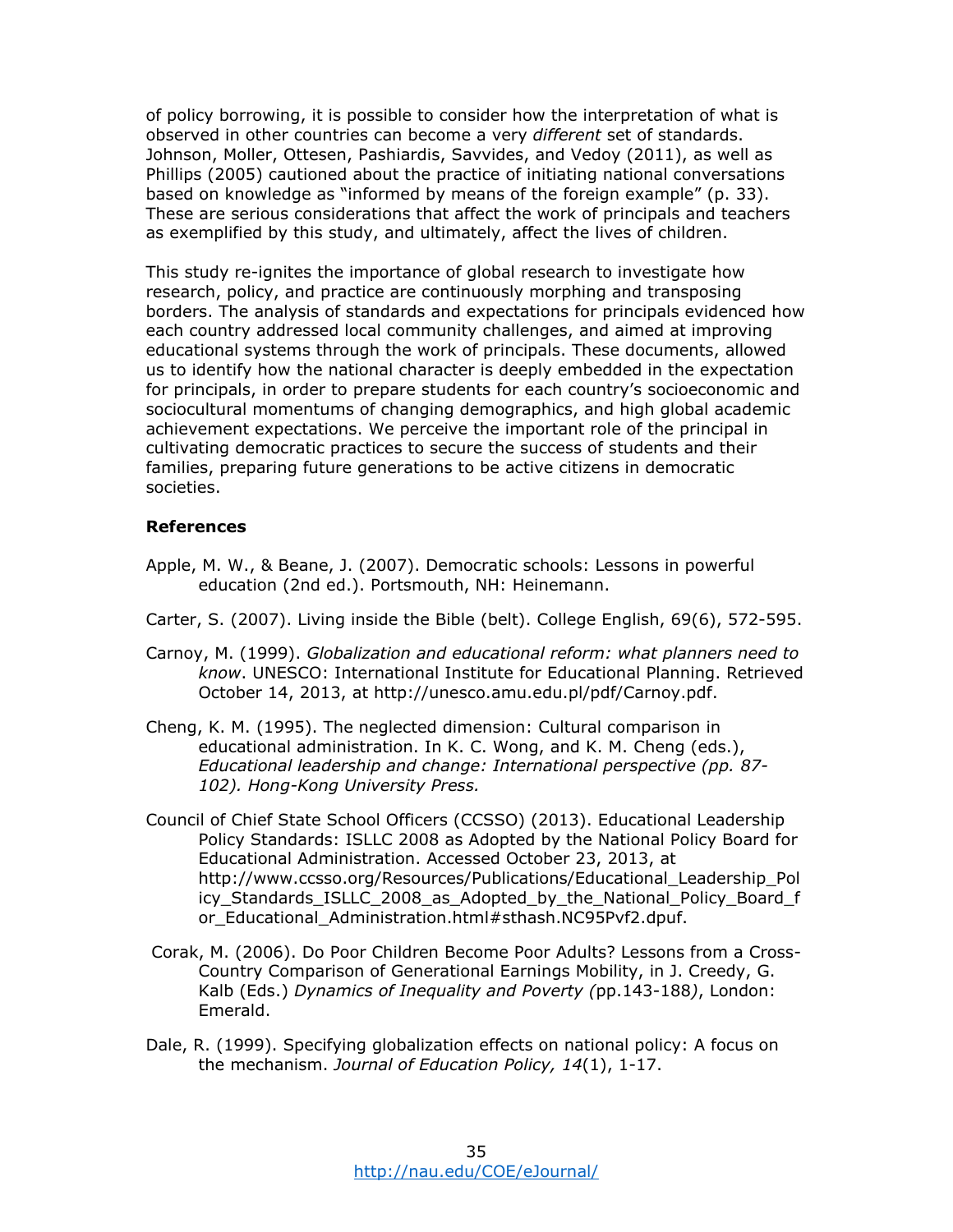of policy borrowing, it is possible to consider how the interpretation of what is observed in other countries can become a very *different* set of standards. Johnson, Moller, Ottesen, Pashiardis, Savvides, and Vedoy (2011), as well as Phillips (2005) cautioned about the practice of initiating national conversations based on knowledge as "informed by means of the foreign example" (p. 33). These are serious considerations that affect the work of principals and teachers as exemplified by this study, and ultimately, affect the lives of children.

This study re-ignites the importance of global research to investigate how research, policy, and practice are continuously morphing and transposing borders. The analysis of standards and expectations for principals evidenced how each country addressed local community challenges, and aimed at improving educational systems through the work of principals. These documents, allowed us to identify how the national character is deeply embedded in the expectation for principals, in order to prepare students for each country's socioeconomic and sociocultural momentums of changing demographics, and high global academic achievement expectations. We perceive the important role of the principal in cultivating democratic practices to secure the success of students and their families, preparing future generations to be active citizens in democratic societies.

### **References**

- Apple, M. W., & Beane, J. (2007). Democratic schools: Lessons in powerful education (2nd ed.). Portsmouth, NH: Heinemann.
- Carter, S. (2007). Living inside the Bible (belt). College English, 69(6), 572-595.
- Carnoy, M. (1999). *Globalization and educational reform: what planners need to know*. UNESCO: International Institute for Educational Planning. Retrieved October 14, 2013, at http://unesco.amu.edu.pl/pdf/Carnoy.pdf.
- Cheng, K. M. (1995). The neglected dimension: Cultural comparison in educational administration. In K. C. Wong, and K. M. Cheng (eds.), *Educational leadership and change: International perspective (pp. 87- 102). Hong-Kong University Press.*
- Council of Chief State School Officers (CCSSO) (2013). Educational Leadership Policy Standards: ISLLC 2008 as Adopted by the National Policy Board for Educational Administration. Accessed October 23, 2013, at http://www.ccsso.org/Resources/Publications/Educational\_Leadership\_Pol icy Standards ISLLC 2008 as Adopted by the National Policy Board f or\_Educational\_Administration.html#sthash.NC95Pvf2.dpuf.
- Corak, M. (2006). Do Poor Children Become Poor Adults? Lessons from a Cross-Country Comparison of Generational Earnings Mobility, in J. Creedy, G. Kalb (Eds.) *Dynamics of Inequality and Poverty (*pp.143-188*)*, London: Emerald.
- Dale, R. (1999). Specifying globalization effects on national policy: A focus on the mechanism. *Journal of Education Policy, 14*(1), 1-17.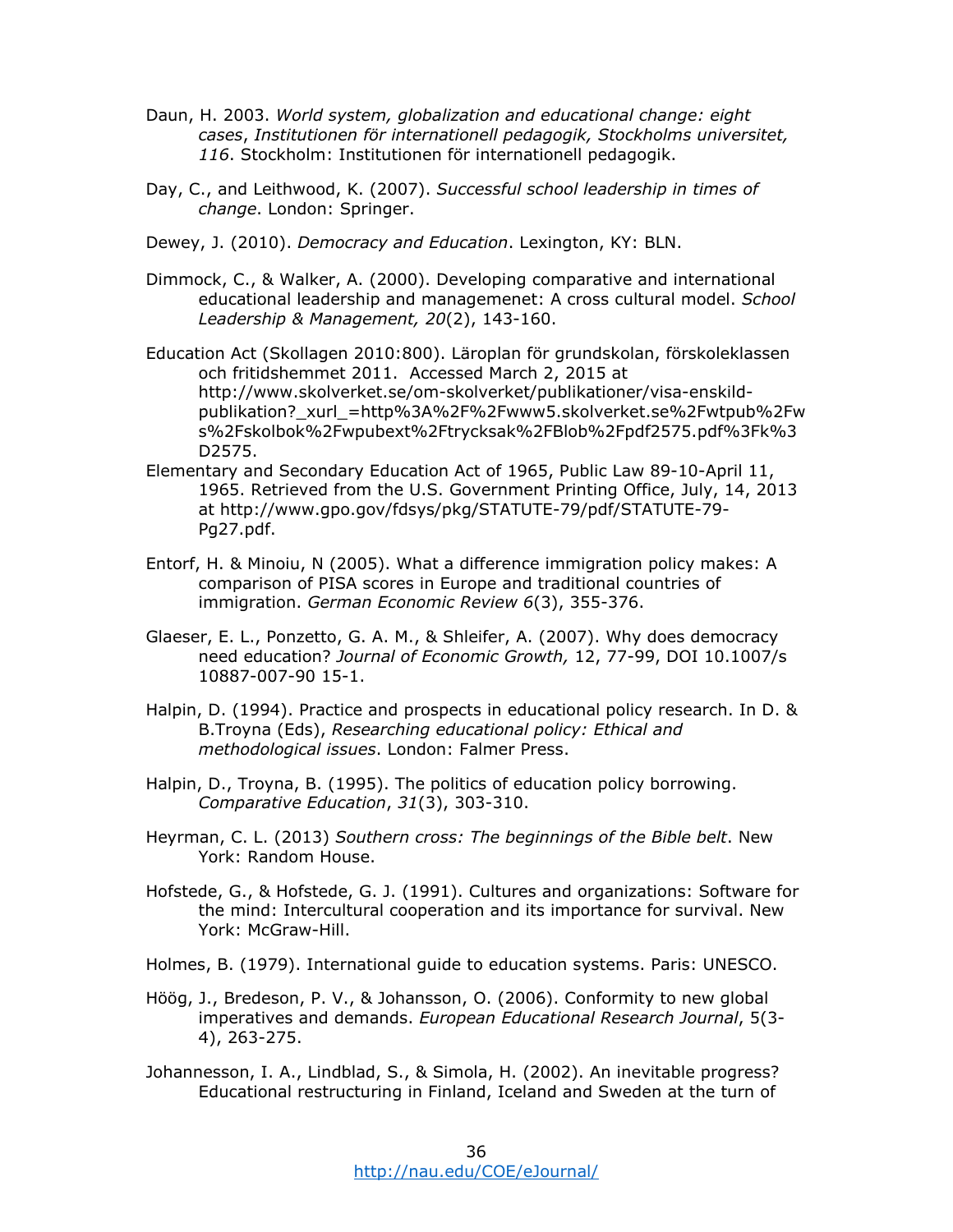- Daun, H. 2003. *World system, globalization and educational change: eight cases*, *Institutionen för internationell pedagogik, Stockholms universitet, 116*. Stockholm: Institutionen för internationell pedagogik.
- Day, C., and Leithwood, K. (2007). *Successful school leadership in times of change*. London: Springer.
- Dewey, J. (2010). *Democracy and Education*. Lexington, KY: BLN.
- Dimmock, C., & Walker, A. (2000). Developing comparative and international educational leadership and managemenet: A cross cultural model. *School Leadership & Management, 20*(2), 143-160.
- Education Act (Skollagen 2010:800). Läroplan för grundskolan, förskoleklassen och fritidshemmet 2011. Accessed March 2, 2015 at http://www.skolverket.se/om-skolverket/publikationer/visa-enskildpublikation?\_xurl\_=http%3A%2F%2Fwww5.skolverket.se%2Fwtpub%2Fw s%2Fskolbok%2Fwpubext%2Ftrycksak%2FBlob%2Fpdf2575.pdf%3Fk%3 D2575.
- Elementary and Secondary Education Act of 1965, Public Law 89-10-April 11, 1965. Retrieved from the U.S. Government Printing Office, July, 14, 2013 at http://www.gpo.gov/fdsys/pkg/STATUTE-79/pdf/STATUTE-79- Pg27.pdf.
- Entorf, H. & Minoiu, N (2005). What a difference immigration policy makes: A comparison of PISA scores in Europe and traditional countries of immigration. *German Economic Review 6*(3), 355-376.
- Glaeser, E. L., Ponzetto, G. A. M., & Shleifer, A. (2007). Why does democracy need education? *Journal of Economic Growth,* 12, 77-99, DOI 10.1007/s 10887-007-90 15-1.
- Halpin, D. (1994). Practice and prospects in educational policy research. In D. & B.Troyna (Eds), *Researching educational policy: Ethical and methodological issues*. London: Falmer Press.
- Halpin, D., Troyna, B. (1995). The politics of education policy borrowing. *Comparative Education*, *31*(3), 303-310.
- Heyrman, C. L. (2013) *Southern cross: The beginnings of the Bible belt*. New York: Random House.
- Hofstede, G., & Hofstede, G. J. (1991). Cultures and organizations: Software for the mind: Intercultural cooperation and its importance for survival. New York: McGraw-Hill.
- Holmes, B. (1979). International guide to education systems. Paris: UNESCO.
- Höög, J., Bredeson, P. V., & Johansson, O. (2006). Conformity to new global imperatives and demands. *European Educational Research Journal*, 5(3- 4), 263-275.
- Johannesson, I. A., Lindblad, S., & Simola, H. (2002). An inevitable progress? Educational restructuring in Finland, Iceland and Sweden at the turn of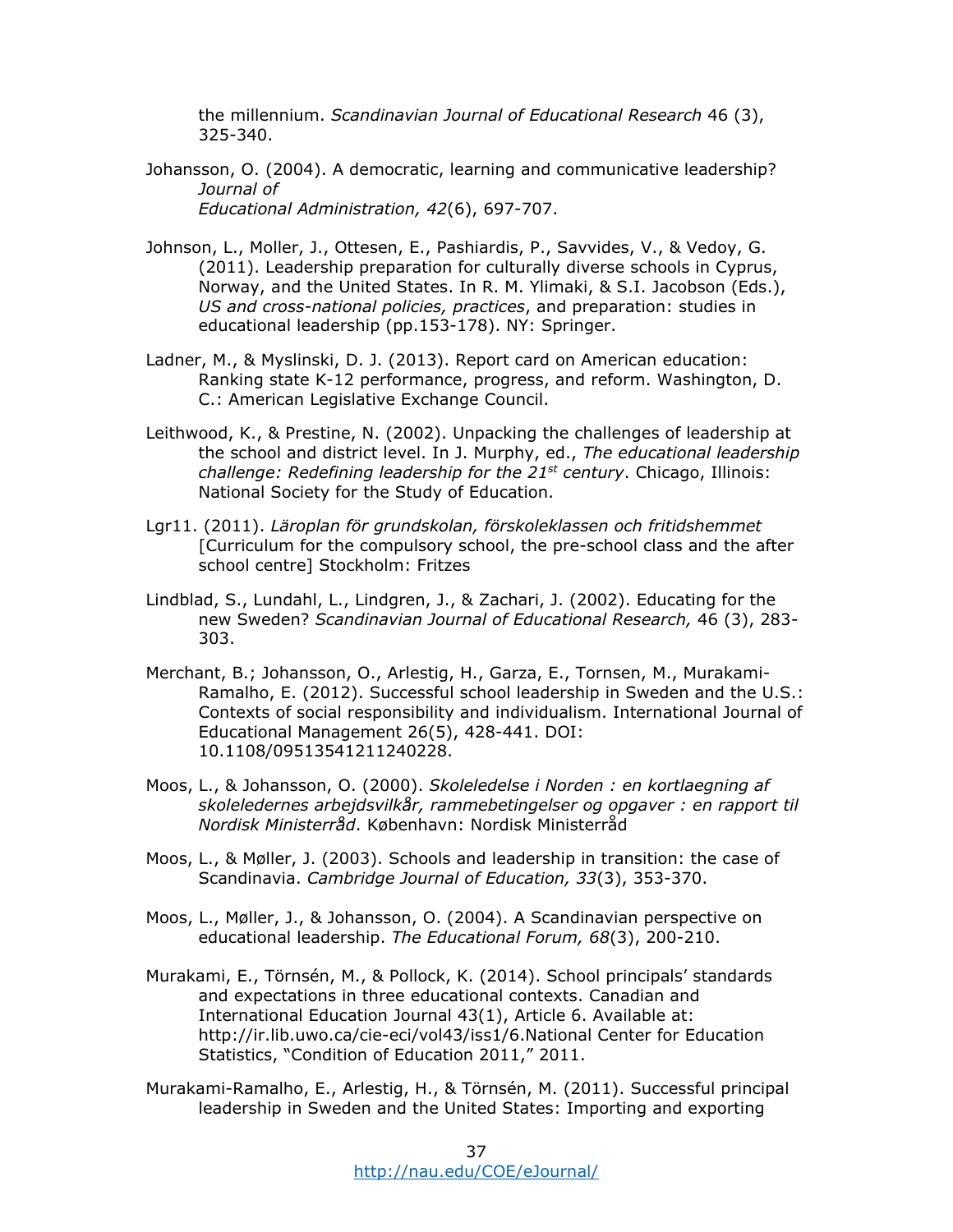the millennium. *Scandinavian Journal of Educational Research* 46 (3), 325-340.

- Johansson, O. (2004). A democratic, learning and communicative leadership? *Journal of Educational Administration, 42*(6), 697-707.
- Johnson, L., Moller, J., Ottesen, E., Pashiardis, P., Savvides, V., & Vedoy, G. (2011). Leadership preparation for culturally diverse schools in Cyprus, Norway, and the United States. In R. M. Ylimaki, & S.I. Jacobson (Eds.), *US and cross-national policies, practices*, and preparation: studies in educational leadership (pp.153-178). NY: Springer.
- Ladner, M., & Myslinski, D. J. (2013). Report card on American education: Ranking state K-12 performance, progress, and reform. Washington, D. C.: American Legislative Exchange Council.
- Leithwood, K., & Prestine, N. (2002). Unpacking the challenges of leadership at the school and district level. In J. Murphy, ed., *The educational leadership challenge: Redefining leadership for the 21st century*. Chicago, Illinois: National Society for the Study of Education.
- Lgr11. (2011). *Läroplan för grundskolan, förskoleklassen och fritidshemmet*  [Curriculum for the compulsory school, the pre-school class and the after school centre] Stockholm: Fritzes
- Lindblad, S., Lundahl, L., Lindgren, J., & Zachari, J. (2002). Educating for the new Sweden? *Scandinavian Journal of Educational Research,* 46 (3), 283- 303.
- Merchant, B.; Johansson, O., Arlestig, H., Garza, E., Tornsen, M., Murakami-Ramalho, E. (2012). Successful school leadership in Sweden and the U.S.: Contexts of social responsibility and individualism. International Journal of Educational Management 26(5), 428-441. DOI: 10.1108/09513541211240228.
- Moos, L., & Johansson, O. (2000). *Skoleledelse i Norden : en kortlaegning af skoleledernes arbejdsvilkår, rammebetingelser og opgaver : en rapport til Nordisk Ministerråd*. København: Nordisk Ministerråd
- Moos, L., & Møller, J. (2003). Schools and leadership in transition: the case of Scandinavia. *Cambridge Journal of Education, 33*(3), 353-370.
- Moos, L., Møller, J., & Johansson, O. (2004). A Scandinavian perspective on educational leadership. *The Educational Forum, 68*(3), 200-210.
- Murakami, E., Törnsén, M., & Pollock, K. (2014). School principals' standards and expectations in three educational contexts. Canadian and International Education Journal 43(1), Article 6. Available at: http://ir.lib.uwo.ca/cie-eci/vol43/iss1/6.National Center for Education Statistics, "Condition of Education 2011," 2011.
- Murakami-Ramalho, E., Arlestig, H., & Törnsén, M. (2011). Successful principal leadership in Sweden and the United States: Importing and exporting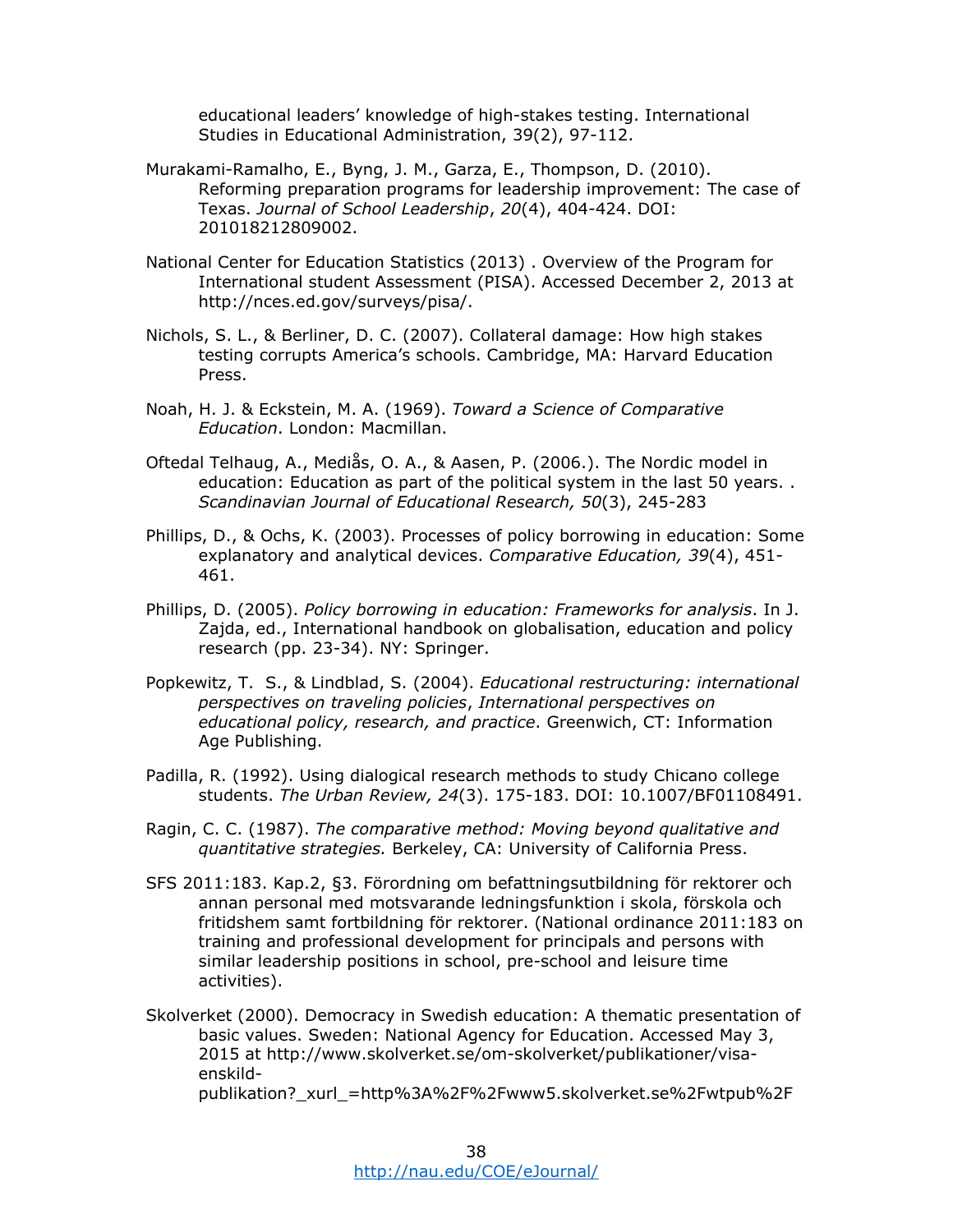educational leaders' knowledge of high-stakes testing. International Studies in Educational Administration, 39(2), 97-112.

- Murakami-Ramalho, E., Byng, J. M., Garza, E., Thompson, D. (2010). Reforming preparation programs for leadership improvement: The case of Texas. *Journal of School Leadership*, *20*(4), 404-424. DOI: 201018212809002.
- National Center for Education Statistics (2013) . Overview of the Program for International student Assessment (PISA). Accessed December 2, 2013 at http://nces.ed.gov/surveys/pisa/.
- Nichols, S. L., & Berliner, D. C. (2007). Collateral damage: How high stakes testing corrupts America's schools. Cambridge, MA: Harvard Education Press.
- Noah, H. J. & Eckstein, M. A. (1969). *Toward a Science of Comparative Education*. London: Macmillan.
- Oftedal Telhaug, A., Mediås, O. A., & Aasen, P. (2006.). The Nordic model in education: Education as part of the political system in the last 50 years. . *Scandinavian Journal of Educational Research, 50*(3), 245-283
- Phillips, D., & Ochs, K. (2003). Processes of policy borrowing in education: Some explanatory and analytical devices. *Comparative Education, 39*(4), 451- 461.
- Phillips, D. (2005). *Policy borrowing in education: Frameworks for analysis*. In J. Zajda, ed., International handbook on globalisation, education and policy research (pp. 23-34). NY: Springer.
- Popkewitz, T. S., & Lindblad, S. (2004). *Educational restructuring: international perspectives on traveling policies*, *International perspectives on educational policy, research, and practice*. Greenwich, CT: Information Age Publishing.
- Padilla, R. (1992). Using dialogical research methods to study Chicano college students. *The Urban Review, 24*(3). 175-183. DOI: 10.1007/BF01108491.
- Ragin, C. C. (1987). *The comparative method: Moving beyond qualitative and quantitative strategies.* Berkeley, CA: University of California Press.
- SFS 2011:183. Kap.2, §3. Förordning om befattningsutbildning för rektorer och annan personal med motsvarande ledningsfunktion i skola, förskola och fritidshem samt fortbildning för rektorer. (National ordinance 2011:183 on training and professional development for principals and persons with similar leadership positions in school, pre-school and leisure time activities).
- Skolverket (2000). Democracy in Swedish education: A thematic presentation of basic values. Sweden: National Agency for Education. Accessed May 3, 2015 at http://www.skolverket.se/om-skolverket/publikationer/visaenskildpublikation?\_xurl\_=http%3A%2F%2Fwww5.skolverket.se%2Fwtpub%2F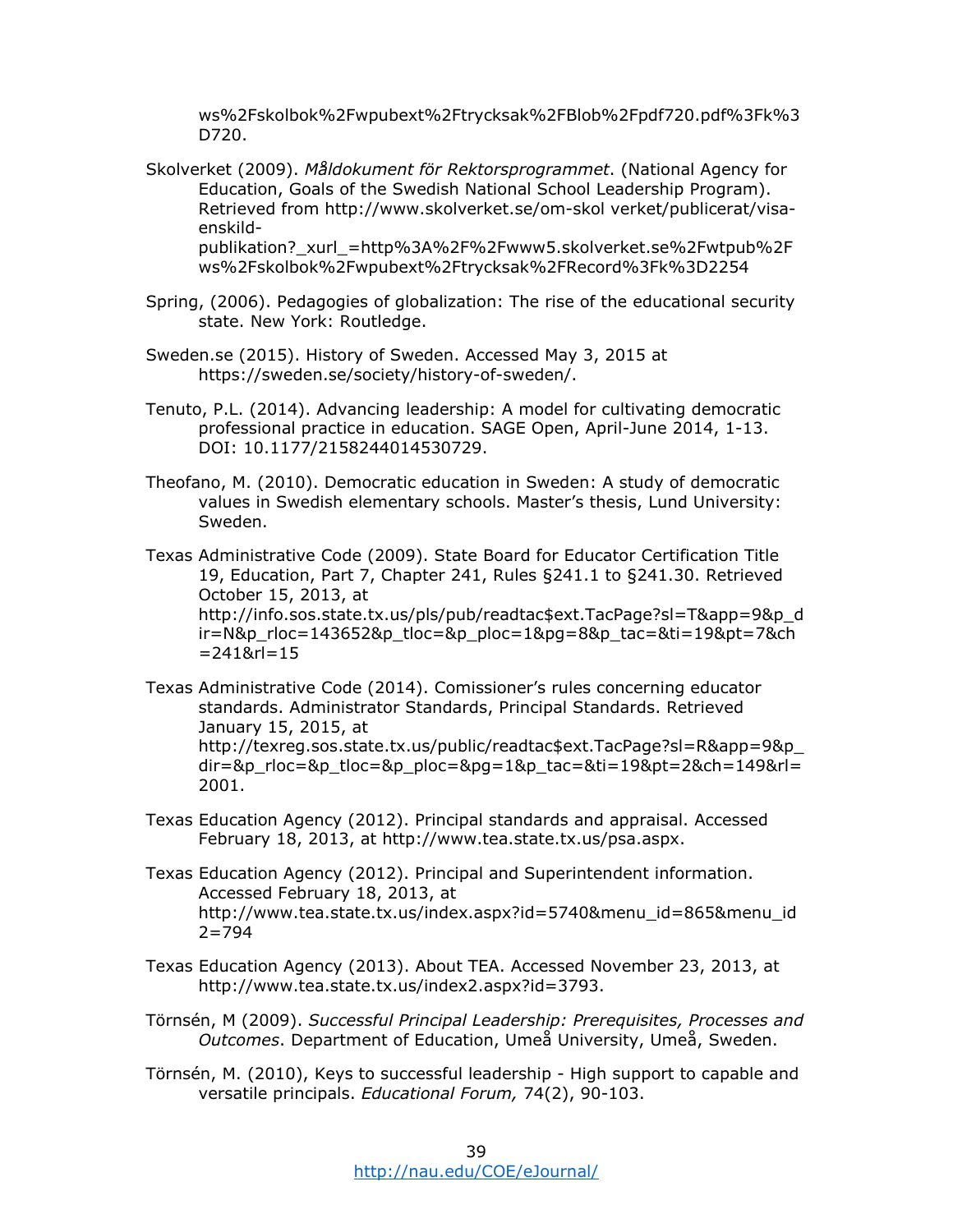ws%2Fskolbok%2Fwpubext%2Ftrycksak%2FBlob%2Fpdf720.pdf%3Fk%3 D720.

- Skolverket (2009). *Måldokument för Rektorsprogrammet*. (National Agency for Education, Goals of the Swedish National School Leadership Program). Retrieved from http://www.skolverket.se/om-skol verket/publicerat/visaenskildpublikation?\_xurl\_=http%3A%2F%2Fwww5.skolverket.se%2Fwtpub%2F ws%2Fskolbok%2Fwpubext%2Ftrycksak%2FRecord%3Fk%3D2254
- Spring, (2006). Pedagogies of globalization: The rise of the educational security state. New York: Routledge.
- Sweden.se (2015). History of Sweden. Accessed May 3, 2015 at https://sweden.se/society/history-of-sweden/.
- Tenuto, P.L. (2014). Advancing leadership: A model for cultivating democratic professional practice in education. SAGE Open, April-June 2014, 1-13. DOI: 10.1177/2158244014530729.
- Theofano, M. (2010). Democratic education in Sweden: A study of democratic values in Swedish elementary schools. Master's thesis, Lund University: Sweden.

Texas Administrative Code (2009). State Board for Educator Certification Title 19, Education, Part 7, Chapter 241, Rules §241.1 to §241.30. Retrieved October 15, 2013, at http://info.sos.state.tx.us/pls/pub/readtac\$ext.TacPage?sl=T&app=9&p\_d  $ir = N&p$  rloc=143652&p\_tloc=&p\_ploc=1&pg=8&p\_tac=&ti=19&pt=7&ch  $= 2418$ rl $= 15$ 

- Texas Administrative Code (2014). Comissioner's rules concerning educator standards. Administrator Standards, Principal Standards. Retrieved January 15, 2015, at http://texreg.sos.state.tx.us/public/readtac\$ext.TacPage?sl=R&app=9&p\_ dir=&p\_rloc=&p\_tloc=&p\_ploc=&pg=1&p\_tac=&ti=19&pt=2&ch=149&rl= 2001.
- Texas Education Agency (2012). Principal standards and appraisal. Accessed February 18, 2013, at http://www.tea.state.tx.us/psa.aspx.
- Texas Education Agency (2012). Principal and Superintendent information. Accessed February 18, 2013, at http://www.tea.state.tx.us/index.aspx?id=5740&menu\_id=865&menu\_id  $2 = 794$
- Texas Education Agency (2013). About TEA. Accessed November 23, 2013, at http://www.tea.state.tx.us/index2.aspx?id=3793.
- Törnsén, M (2009). *Successful Principal Leadership: Prerequisites, Processes and Outcomes*. Department of Education, Umeå University, Umeå, Sweden.
- Törnsén, M. (2010), Keys to successful leadership High support to capable and versatile principals. *Educational Forum,* 74(2), 90-103.